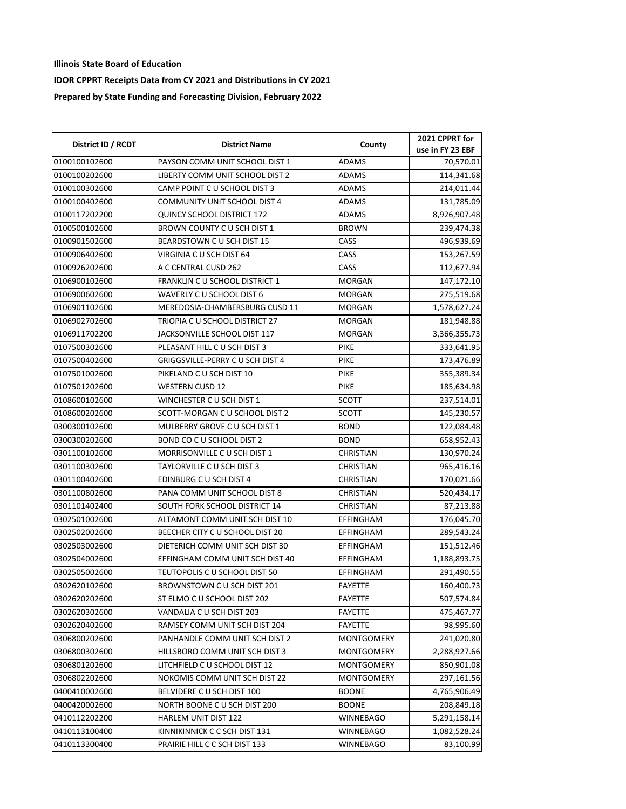| District ID / RCDT | <b>District Name</b>                    | County            | 2021 CPPRT for   |
|--------------------|-----------------------------------------|-------------------|------------------|
|                    |                                         |                   | use in FY 23 EBF |
| 0100100102600      | PAYSON COMM UNIT SCHOOL DIST 1          | <b>ADAMS</b>      | 70,570.01        |
| 0100100202600      | LIBERTY COMM UNIT SCHOOL DIST 2         | ADAMS             | 114,341.68       |
| 0100100302600      | CAMP POINT C U SCHOOL DIST 3            | ADAMS             | 214,011.44       |
| 0100100402600      | <b>COMMUNITY UNIT SCHOOL DIST 4</b>     | <b>ADAMS</b>      | 131,785.09       |
| 0100117202200      | <b>QUINCY SCHOOL DISTRICT 172</b>       | <b>ADAMS</b>      | 8,926,907.48     |
| 0100500102600      | BROWN COUNTY C U SCH DIST 1             | <b>BROWN</b>      | 239,474.38       |
| 0100901502600      | BEARDSTOWN CU SCH DIST 15               | CASS              | 496,939.69       |
| 0100906402600      | VIRGINIA C U SCH DIST 64                | CASS              | 153,267.59       |
| 0100926202600      | A C CENTRAL CUSD 262                    | CASS              | 112,677.94       |
| 0106900102600      | <b>FRANKLIN C U SCHOOL DISTRICT 1</b>   | MORGAN            | 147,172.10       |
| 0106900602600      | WAVERLY C U SCHOOL DIST 6               | <b>MORGAN</b>     | 275,519.68       |
| 0106901102600      | MEREDOSIA-CHAMBERSBURG CUSD 11          | <b>MORGAN</b>     | 1,578,627.24     |
| 0106902702600      | TRIOPIA C U SCHOOL DISTRICT 27          | <b>MORGAN</b>     | 181,948.88       |
| 0106911702200      | JACKSONVILLE SCHOOL DIST 117            | MORGAN            | 3,366,355.73     |
| 0107500302600      | PLEASANT HILL C U SCH DIST 3            | <b>PIKE</b>       | 333,641.95       |
| 0107500402600      | <b>GRIGGSVILLE-PERRY C U SCH DIST 4</b> | <b>PIKE</b>       | 173,476.89       |
| 0107501002600      | PIKELAND C U SCH DIST 10                | <b>PIKE</b>       | 355,389.34       |
| 0107501202600      | <b>WESTERN CUSD 12</b>                  | <b>PIKE</b>       | 185,634.98       |
| 0108600102600      | WINCHESTER C U SCH DIST 1               | <b>SCOTT</b>      | 237,514.01       |
| 0108600202600      | SCOTT-MORGAN C U SCHOOL DIST 2          | <b>SCOTT</b>      | 145,230.57       |
| 0300300102600      | MULBERRY GROVE C U SCH DIST 1           | <b>BOND</b>       | 122,084.48       |
| 0300300202600      | BOND CO C U SCHOOL DIST 2               | <b>BOND</b>       | 658,952.43       |
| 0301100102600      | MORRISONVILLE C U SCH DIST 1            | <b>CHRISTIAN</b>  | 130,970.24       |
| 0301100302600      | TAYLORVILLE C U SCH DIST 3              | <b>CHRISTIAN</b>  | 965,416.16       |
| 0301100402600      | EDINBURG C U SCH DIST 4                 | CHRISTIAN         | 170,021.66       |
| 0301100802600      | PANA COMM UNIT SCHOOL DIST 8            | CHRISTIAN         | 520,434.17       |
| 0301101402400      | SOUTH FORK SCHOOL DISTRICT 14           | CHRISTIAN         | 87,213.88        |
| 0302501002600      | ALTAMONT COMM UNIT SCH DIST 10          | EFFINGHAM         | 176,045.70       |
| 0302502002600      | BEECHER CITY C U SCHOOL DIST 20         | EFFINGHAM         | 289,543.24       |
| 0302503002600      | DIETERICH COMM UNIT SCH DIST 30         | EFFINGHAM         | 151,512.46       |
| 0302504002600      | EFFINGHAM COMM UNIT SCH DIST 40         | EFFINGHAM         | 1,188,893.75     |
| 0302505002600      | TEUTOPOLIS C U SCHOOL DIST 50           | EFFINGHAM         | 291,490.55       |
| 0302620102600      | BROWNSTOWN C U SCH DIST 201             | <b>FAYETTE</b>    | 160,400.73       |
| 0302620202600      | ST ELMO C U SCHOOL DIST 202             | FAYETTE           | 507,574.84       |
| 0302620302600      | VANDALIA C U SCH DIST 203               | FAYETTE           | 475,467.77       |
| 0302620402600      | RAMSEY COMM UNIT SCH DIST 204           | FAYETTE           | 98,995.60        |
| 0306800202600      | PANHANDLE COMM UNIT SCH DIST 2          | <b>MONTGOMERY</b> | 241,020.80       |
| 0306800302600      | HILLSBORO COMM UNIT SCH DIST 3          | MONTGOMERY        | 2,288,927.66     |
| 0306801202600      | LITCHFIELD C U SCHOOL DIST 12           | MONTGOMERY        | 850,901.08       |
| 0306802202600      | NOKOMIS COMM UNIT SCH DIST 22           | MONTGOMERY        | 297,161.56       |
| 0400410002600      | BELVIDERE C U SCH DIST 100              | <b>BOONE</b>      | 4,765,906.49     |
| 0400420002600      | NORTH BOONE CU SCH DIST 200             | <b>BOONE</b>      | 208,849.18       |
| 0410112202200      | HARLEM UNIT DIST 122                    | WINNEBAGO         | 5,291,158.14     |
| 0410113100400      | KINNIKINNICK C C SCH DIST 131           | WINNEBAGO         | 1,082,528.24     |
| 0410113300400      | PRAIRIE HILL C C SCH DIST 133           | WINNEBAGO         | 83,100.99        |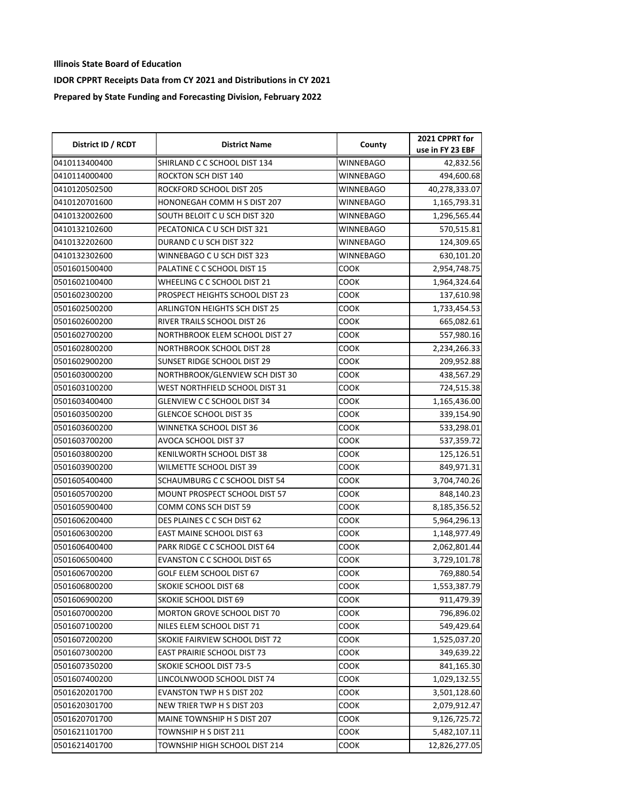| District ID / RCDT | <b>District Name</b>                 | County           | 2021 CPPRT for   |
|--------------------|--------------------------------------|------------------|------------------|
|                    |                                      |                  | use in FY 23 EBF |
| 0410113400400      | SHIRLAND C C SCHOOL DIST 134         | <b>WINNEBAGO</b> | 42,832.56        |
| 0410114000400      | ROCKTON SCH DIST 140                 | WINNEBAGO        | 494,600.68       |
| 0410120502500      | ROCKFORD SCHOOL DIST 205             | WINNEBAGO        | 40,278,333.07    |
| 0410120701600      | HONONEGAH COMM H S DIST 207          | WINNEBAGO        | 1,165,793.31     |
| 0410132002600      | SOUTH BELOIT C U SCH DIST 320        | WINNEBAGO        | 1,296,565.44     |
| 0410132102600      | PECATONICA C U SCH DIST 321          | WINNEBAGO        | 570,515.81       |
| 0410132202600      | DURAND C U SCH DIST 322              | WINNEBAGO        | 124,309.65       |
| 0410132302600      | WINNEBAGO C U SCH DIST 323           | WINNEBAGO        | 630,101.20       |
| 0501601500400      | PALATINE C C SCHOOL DIST 15          | COOK             | 2,954,748.75     |
| 0501602100400      | WHEELING C C SCHOOL DIST 21          | COOK             | 1,964,324.64     |
| 0501602300200      | PROSPECT HEIGHTS SCHOOL DIST 23      | COOK             | 137,610.98       |
| 0501602500200      | <b>ARLINGTON HEIGHTS SCH DIST 25</b> | соок             | 1,733,454.53     |
| 0501602600200      | RIVER TRAILS SCHOOL DIST 26          | соок             | 665,082.61       |
| 0501602700200      | NORTHBROOK ELEM SCHOOL DIST 27       | соок             | 557,980.16       |
| 0501602800200      | NORTHBROOK SCHOOL DIST 28            | соок             | 2,234,266.33     |
| 0501602900200      | SUNSET RIDGE SCHOOL DIST 29          | соок             | 209,952.88       |
| 0501603000200      | NORTHBROOK/GLENVIEW SCH DIST 30      | COOK             | 438,567.29       |
| 0501603100200      | WEST NORTHFIELD SCHOOL DIST 31       | соок             | 724,515.38       |
| 0501603400400      | <b>GLENVIEW C C SCHOOL DIST 34</b>   | соок             | 1,165,436.00     |
| 0501603500200      | <b>GLENCOE SCHOOL DIST 35</b>        | соок             | 339,154.90       |
| 0501603600200      | WINNETKA SCHOOL DIST 36              | соок             | 533,298.01       |
| 0501603700200      | AVOCA SCHOOL DIST 37                 | соок             | 537,359.72       |
| 0501603800200      | KENILWORTH SCHOOL DIST 38            | соок             | 125,126.51       |
| 0501603900200      | WILMETTE SCHOOL DIST 39              | соок             | 849,971.31       |
| 0501605400400      | SCHAUMBURG C C SCHOOL DIST 54        | соок             | 3,704,740.26     |
| 0501605700200      | MOUNT PROSPECT SCHOOL DIST 57        | соок             | 848,140.23       |
| 0501605900400      | COMM CONS SCH DIST 59                | соок             | 8,185,356.52     |
| 0501606200400      | DES PLAINES C C SCH DIST 62          | соок             | 5,964,296.13     |
| 0501606300200      | <b>EAST MAINE SCHOOL DIST 63</b>     | COOK             | 1,148,977.49     |
| 0501606400400      | PARK RIDGE C C SCHOOL DIST 64        | COOK             | 2,062,801.44     |
| 0501606500400      | <b>EVANSTON C C SCHOOL DIST 65</b>   | соок             | 3,729,101.78     |
| 0501606700200      | GOLF ELEM SCHOOL DIST 67             | соок             | 769,880.54       |
| 0501606800200      | SKOKIE SCHOOL DIST 68                | соок             | 1,553,387.79     |
| 0501606900200      | SKOKIE SCHOOL DIST 69                | соок             | 911,479.39       |
| 0501607000200      | MORTON GROVE SCHOOL DIST 70          | COOK             | 796,896.02       |
| 0501607100200      | NILES ELEM SCHOOL DIST 71            | COOK             | 549,429.64       |
| 0501607200200      | SKOKIE FAIRVIEW SCHOOL DIST 72       | соок             | 1,525,037.20     |
| 0501607300200      | <b>EAST PRAIRIE SCHOOL DIST 73</b>   | соок             | 349,639.22       |
| 0501607350200      | SKOKIE SCHOOL DIST 73-5              | соок             | 841,165.30       |
| 0501607400200      | LINCOLNWOOD SCHOOL DIST 74           | соок             | 1,029,132.55     |
| 0501620201700      | <b>EVANSTON TWP H S DIST 202</b>     | соок             | 3,501,128.60     |
| 0501620301700      | NEW TRIER TWP H S DIST 203           | соок             | 2,079,912.47     |
| 0501620701700      | MAINE TOWNSHIP H S DIST 207          | соок             | 9,126,725.72     |
| 0501621101700      | TOWNSHIP H S DIST 211                | соок             | 5,482,107.11     |
| 0501621401700      | TOWNSHIP HIGH SCHOOL DIST 214        | соок             | 12,826,277.05    |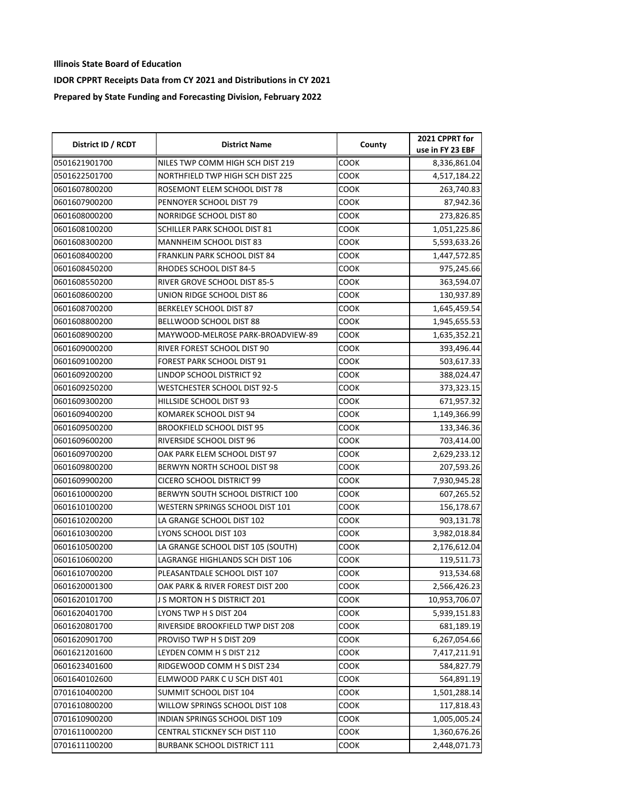| District ID / RCDT | <b>District Name</b>              | County      | 2021 CPPRT for<br>use in FY 23 EBF |
|--------------------|-----------------------------------|-------------|------------------------------------|
| 0501621901700      | NILES TWP COMM HIGH SCH DIST 219  | COOK        | 8,336,861.04                       |
| 0501622501700      | NORTHFIELD TWP HIGH SCH DIST 225  | COOK        | 4,517,184.22                       |
| 0601607800200      | ROSEMONT ELEM SCHOOL DIST 78      | <b>COOK</b> | 263,740.83                         |
| 0601607900200      | PENNOYER SCHOOL DIST 79           | <b>COOK</b> | 87,942.36                          |
| 0601608000200      | <b>NORRIDGE SCHOOL DIST 80</b>    | COOK        | 273,826.85                         |
| 0601608100200      | SCHILLER PARK SCHOOL DIST 81      | COOK        | 1,051,225.86                       |
| 0601608300200      | MANNHEIM SCHOOL DIST 83           | COOK        | 5,593,633.26                       |
| 0601608400200      | FRANKLIN PARK SCHOOL DIST 84      | COOK        | 1,447,572.85                       |
| 0601608450200      | RHODES SCHOOL DIST 84-5           | <b>COOK</b> | 975,245.66                         |
| 0601608550200      | RIVER GROVE SCHOOL DIST 85-5      | <b>COOK</b> | 363,594.07                         |
| 0601608600200      | UNION RIDGE SCHOOL DIST 86        | COOK        | 130,937.89                         |
| 0601608700200      | <b>BERKELEY SCHOOL DIST 87</b>    | <b>COOK</b> | 1,645,459.54                       |
| 0601608800200      | BELLWOOD SCHOOL DIST 88           | соок        | 1,945,655.53                       |
| 0601608900200      | MAYWOOD-MELROSE PARK-BROADVIEW-89 | COOK        | 1,635,352.21                       |
| 0601609000200      | RIVER FOREST SCHOOL DIST 90       | <b>COOK</b> | 393,496.44                         |
| 0601609100200      | FOREST PARK SCHOOL DIST 91        | COOK        | 503,617.33                         |
| 0601609200200      | LINDOP SCHOOL DISTRICT 92         | <b>COOK</b> | 388,024.47                         |
| 0601609250200      | WESTCHESTER SCHOOL DIST 92-5      | <b>COOK</b> | 373,323.15                         |
| 0601609300200      | HILLSIDE SCHOOL DIST 93           | <b>COOK</b> | 671,957.32                         |
| 0601609400200      | KOMAREK SCHOOL DIST 94            | COOK        | 1,149,366.99                       |
| 0601609500200      | <b>BROOKFIELD SCHOOL DIST 95</b>  | COOK        | 133,346.36                         |
| 0601609600200      | RIVERSIDE SCHOOL DIST 96          | <b>COOK</b> | 703,414.00                         |
| 0601609700200      | OAK PARK ELEM SCHOOL DIST 97      | <b>COOK</b> | 2,629,233.12                       |
| 0601609800200      | BERWYN NORTH SCHOOL DIST 98       | COOK        | 207,593.26                         |
| 0601609900200      | CICERO SCHOOL DISTRICT 99         | COOK        | 7,930,945.28                       |
| 0601610000200      | BERWYN SOUTH SCHOOL DISTRICT 100  | соок        | 607,265.52                         |
| 0601610100200      | WESTERN SPRINGS SCHOOL DIST 101   | COOK        | 156,178.67                         |
| 0601610200200      | LA GRANGE SCHOOL DIST 102         | <b>COOK</b> | 903,131.78                         |
| 0601610300200      | LYONS SCHOOL DIST 103             | <b>COOK</b> | 3,982,018.84                       |
| 0601610500200      | LA GRANGE SCHOOL DIST 105 (SOUTH) | COOK        | 2,176,612.04                       |
| 0601610600200      | LAGRANGE HIGHLANDS SCH DIST 106   | COOK        | 119,511.73                         |
| 0601610700200      | PLEASANTDALE SCHOOL DIST 107      | <b>COOK</b> | 913,534.68                         |
| 0601620001300      | OAK PARK & RIVER FOREST DIST 200  | <b>COOK</b> | 2,566,426.23                       |
| 0601620101700      | J S MORTON H S DISTRICT 201       | <b>COOK</b> | 10,953,706.07                      |
| 0601620401700      | LYONS TWP H S DIST 204            | COOK        | 5,939,151.83                       |
| 0601620801700      | RIVERSIDE BROOKFIELD TWP DIST 208 | COOK        | 681,189.19                         |
| 0601620901700      | PROVISO TWP H S DIST 209          | COOK        | 6,267,054.66                       |
| 0601621201600      | LEYDEN COMM H S DIST 212          | COOK        | 7,417,211.91                       |
| 0601623401600      | RIDGEWOOD COMM H S DIST 234       | COOK        | 584,827.79                         |
| 0601640102600      | ELMWOOD PARK C U SCH DIST 401     | COOK        | 564,891.19                         |
| 0701610400200      | SUMMIT SCHOOL DIST 104            | <b>COOK</b> | 1,501,288.14                       |
| 0701610800200      | WILLOW SPRINGS SCHOOL DIST 108    | COOK        | 117,818.43                         |
| 0701610900200      | INDIAN SPRINGS SCHOOL DIST 109    | COOK        | 1,005,005.24                       |
| 0701611000200      | CENTRAL STICKNEY SCH DIST 110     | COOK        | 1,360,676.26                       |
| 0701611100200      | BURBANK SCHOOL DISTRICT 111       | соок        | 2,448,071.73                       |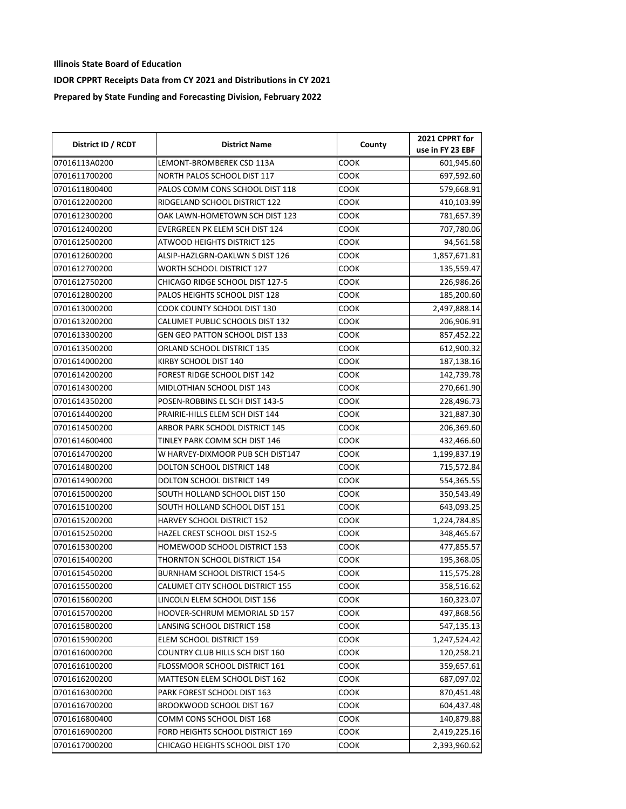| District ID / RCDT | <b>District Name</b>                 | County | 2021 CPPRT for<br>use in FY 23 EBF |
|--------------------|--------------------------------------|--------|------------------------------------|
| 07016113A0200      | LEMONT-BROMBEREK CSD 113A            | соок   | 601,945.60                         |
| 0701611700200      | NORTH PALOS SCHOOL DIST 117          | соок   | 697,592.60                         |
| 0701611800400      | PALOS COMM CONS SCHOOL DIST 118      | COOK   | 579,668.91                         |
| 0701612200200      | RIDGELAND SCHOOL DISTRICT 122        | соок   | 410,103.99                         |
| 0701612300200      | OAK LAWN-HOMETOWN SCH DIST 123       | COOK   | 781,657.39                         |
| 0701612400200      | EVERGREEN PK ELEM SCH DIST 124       | соок   | 707,780.06                         |
| 0701612500200      | ATWOOD HEIGHTS DISTRICT 125          | соок   | 94,561.58                          |
| 0701612600200      | ALSIP-HAZLGRN-OAKLWN S DIST 126      | соок   | 1,857,671.81                       |
| 0701612700200      | WORTH SCHOOL DISTRICT 127            | соок   | 135,559.47                         |
| 0701612750200      | CHICAGO RIDGE SCHOOL DIST 127-5      | соок   | 226,986.26                         |
| 0701612800200      | PALOS HEIGHTS SCHOOL DIST 128        | соок   | 185,200.60                         |
| 0701613000200      | COOK COUNTY SCHOOL DIST 130          | соок   | 2,497,888.14                       |
| 0701613200200      | CALUMET PUBLIC SCHOOLS DIST 132      | соок   | 206,906.91                         |
| 0701613300200      | GEN GEO PATTON SCHOOL DIST 133       | соок   | 857,452.22                         |
| 0701613500200      | ORLAND SCHOOL DISTRICT 135           | соок   | 612,900.32                         |
| 0701614000200      | KIRBY SCHOOL DIST 140                | соок   | 187,138.16                         |
| 0701614200200      | FOREST RIDGE SCHOOL DIST 142         | COOK   | 142,739.78                         |
| 0701614300200      | MIDLOTHIAN SCHOOL DIST 143           | COOK   | 270,661.90                         |
| 0701614350200      | POSEN-ROBBINS EL SCH DIST 143-5      | соок   | 228,496.73                         |
| 0701614400200      | PRAIRIE-HILLS ELEM SCH DIST 144      | соок   | 321,887.30                         |
| 0701614500200      | ARBOR PARK SCHOOL DISTRICT 145       | соок   | 206,369.60                         |
| 0701614600400      | TINLEY PARK COMM SCH DIST 146        | соок   | 432,466.60                         |
| 0701614700200      | W HARVEY-DIXMOOR PUB SCH DIST147     | соок   | 1,199,837.19                       |
| 0701614800200      | DOLTON SCHOOL DISTRICT 148           | соок   | 715,572.84                         |
| 0701614900200      | DOLTON SCHOOL DISTRICT 149           | соок   | 554,365.55                         |
| 0701615000200      | SOUTH HOLLAND SCHOOL DIST 150        | соок   | 350,543.49                         |
| 0701615100200      | SOUTH HOLLAND SCHOOL DIST 151        | соок   | 643,093.25                         |
| 0701615200200      | HARVEY SCHOOL DISTRICT 152           | соок   | 1,224,784.85                       |
| 0701615250200      | HAZEL CREST SCHOOL DIST 152-5        | соок   | 348,465.67                         |
| 0701615300200      | HOMEWOOD SCHOOL DISTRICT 153         | соок   | 477,855.57                         |
| 0701615400200      | THORNTON SCHOOL DISTRICT 154         | соок   | 195,368.05                         |
| 0701615450200      | <b>BURNHAM SCHOOL DISTRICT 154-5</b> | соок   | 115,575.28                         |
| 0701615500200      | CALUMET CITY SCHOOL DISTRICT 155     | COOK   | 358,516.62                         |
| 0701615600200      | LINCOLN ELEM SCHOOL DIST 156         | соок   | 160,323.07                         |
| 0701615700200      | HOOVER-SCHRUM MEMORIAL SD 157        | COOK   | 497,868.56                         |
| 0701615800200      | LANSING SCHOOL DISTRICT 158          | COOK   | 547,135.13                         |
| 0701615900200      | ELEM SCHOOL DISTRICT 159             | соок   | 1,247,524.42                       |
| 0701616000200      | COUNTRY CLUB HILLS SCH DIST 160      | COOK   | 120,258.21                         |
| 0701616100200      | FLOSSMOOR SCHOOL DISTRICT 161        | соок   | 359,657.61                         |
| 0701616200200      | MATTESON ELEM SCHOOL DIST 162        | соок   | 687,097.02                         |
| 0701616300200      | PARK FOREST SCHOOL DIST 163          | соок   | 870,451.48                         |
| 0701616700200      | BROOKWOOD SCHOOL DIST 167            | COOK   | 604,437.48                         |
| 0701616800400      | COMM CONS SCHOOL DIST 168            | COOK   | 140,879.88                         |
| 0701616900200      | FORD HEIGHTS SCHOOL DISTRICT 169     | соок   | 2,419,225.16                       |
| 0701617000200      | CHICAGO HEIGHTS SCHOOL DIST 170      | соок   | 2,393,960.62                       |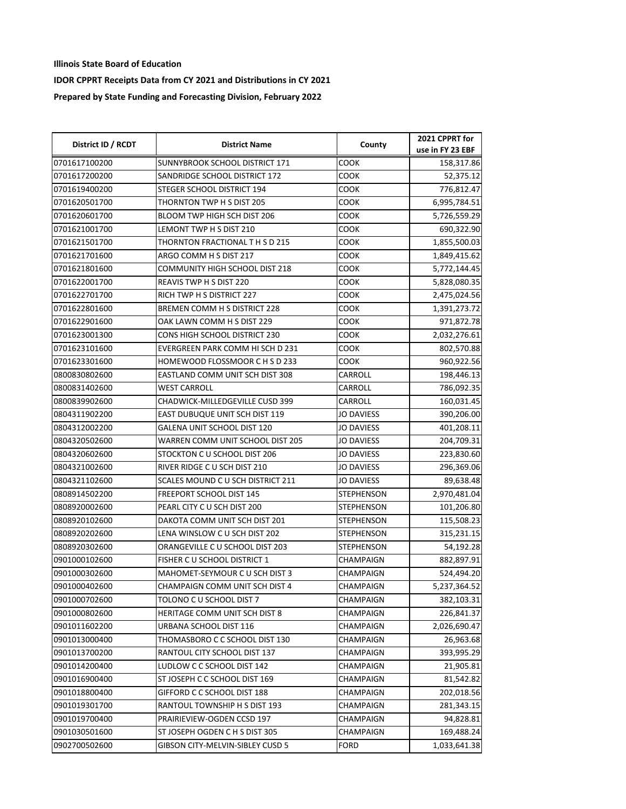| District ID / RCDT | <b>District Name</b>              | County            | 2021 CPPRT for   |
|--------------------|-----------------------------------|-------------------|------------------|
|                    |                                   |                   | use in FY 23 EBF |
| 0701617100200      | SUNNYBROOK SCHOOL DISTRICT 171    | COOK              | 158,317.86       |
| 0701617200200      | SANDRIDGE SCHOOL DISTRICT 172     | соок              | 52,375.12        |
| 0701619400200      | STEGER SCHOOL DISTRICT 194        | COOK              | 776,812.47       |
| 0701620501700      | THORNTON TWP H S DIST 205         | COOK              | 6,995,784.51     |
| 0701620601700      | BLOOM TWP HIGH SCH DIST 206       | соок              | 5,726,559.29     |
| 0701621001700      | LEMONT TWP H S DIST 210           | соок              | 690,322.90       |
| 0701621501700      | THORNTON FRACTIONAL T H S D 215   | соок              | 1,855,500.03     |
| 0701621701600      | ARGO COMM H S DIST 217            | соок              | 1,849,415.62     |
| 0701621801600      | COMMUNITY HIGH SCHOOL DIST 218    | COOK              | 5,772,144.45     |
| 0701622001700      | REAVIS TWP H S DIST 220           | COOK              | 5,828,080.35     |
| 0701622701700      | RICH TWP H S DISTRICT 227         | <b>COOK</b>       | 2,475,024.56     |
| 0701622801600      | BREMEN COMM H S DISTRICT 228      | <b>COOK</b>       | 1,391,273.72     |
| 0701622901600      | OAK LAWN COMM H S DIST 229        | соок              | 971,872.78       |
| 0701623001300      | CONS HIGH SCHOOL DISTRICT 230     | COOK              | 2,032,276.61     |
| 0701623101600      | EVERGREEN PARK COMM HI SCH D 231  | соок              | 802,570.88       |
| 0701623301600      | HOMEWOOD FLOSSMOOR C H S D 233    | COOK              | 960,922.56       |
| 0800830802600      | EASTLAND COMM UNIT SCH DIST 308   | CARROLL           | 198,446.13       |
| 0800831402600      | WEST CARROLL                      | CARROLL           | 786,092.35       |
| 0800839902600      | CHADWICK-MILLEDGEVILLE CUSD 399   | CARROLL           | 160,031.45       |
| 0804311902200      | EAST DUBUQUE UNIT SCH DIST 119    | <b>JO DAVIESS</b> | 390,206.00       |
| 0804312002200      | GALENA UNIT SCHOOL DIST 120       | <b>JO DAVIESS</b> | 401,208.11       |
| 0804320502600      | WARREN COMM UNIT SCHOOL DIST 205  | <b>JO DAVIESS</b> | 204,709.31       |
| 0804320602600      | STOCKTON CU SCHOOL DIST 206       | <b>JO DAVIESS</b> | 223,830.60       |
| 0804321002600      | RIVER RIDGE C U SCH DIST 210      | <b>JO DAVIESS</b> | 296,369.06       |
| 0804321102600      | SCALES MOUND C U SCH DISTRICT 211 | <b>JO DAVIESS</b> | 89,638.48        |
| 0808914502200      | FREEPORT SCHOOL DIST 145          | <b>STEPHENSON</b> | 2,970,481.04     |
| 0808920002600      | PEARL CITY C U SCH DIST 200       | <b>STEPHENSON</b> | 101,206.80       |
| 0808920102600      | DAKOTA COMM UNIT SCH DIST 201     | <b>STEPHENSON</b> | 115,508.23       |
| 0808920202600      | LENA WINSLOW CU SCH DIST 202      | <b>STEPHENSON</b> | 315,231.15       |
| 0808920302600      | ORANGEVILLE C U SCHOOL DIST 203   | <b>STEPHENSON</b> | 54,192.28        |
| 0901000102600      | FISHER C U SCHOOL DISTRICT 1      | <b>CHAMPAIGN</b>  | 882,897.91       |
| 0901000302600      | MAHOMET-SEYMOUR C U SCH DIST 3    | CHAMPAIGN         | 524,494.20       |
| 0901000402600      | CHAMPAIGN COMM UNIT SCH DIST 4    | CHAMPAIGN         | 5,237,364.52     |
| 0901000702600      | TOLONO C U SCHOOL DIST 7          | CHAMPAIGN         | 382,103.31       |
| 0901000802600      | HERITAGE COMM UNIT SCH DIST 8     | CHAMPAIGN         | 226,841.37       |
| 0901011602200      | URBANA SCHOOL DIST 116            | CHAMPAIGN         | 2,026,690.47     |
| 0901013000400      | THOMASBORO C C SCHOOL DIST 130    | CHAMPAIGN         | 26,963.68        |
| 0901013700200      | RANTOUL CITY SCHOOL DIST 137      | CHAMPAIGN         | 393,995.29       |
| 0901014200400      | LUDLOW C C SCHOOL DIST 142        | CHAMPAIGN         | 21,905.81        |
| 0901016900400      | ST JOSEPH C C SCHOOL DIST 169     | CHAMPAIGN         | 81,542.82        |
| 0901018800400      | GIFFORD C C SCHOOL DIST 188       | CHAMPAIGN         | 202,018.56       |
| 0901019301700      | RANTOUL TOWNSHIP H S DIST 193     | CHAMPAIGN         | 281,343.15       |
| 0901019700400      | PRAIRIEVIEW-OGDEN CCSD 197        | CHAMPAIGN         | 94,828.81        |
| 0901030501600      | ST JOSEPH OGDEN C H S DIST 305    | CHAMPAIGN         | 169,488.24       |
| 0902700502600      | GIBSON CITY-MELVIN-SIBLEY CUSD 5  | FORD              | 1,033,641.38     |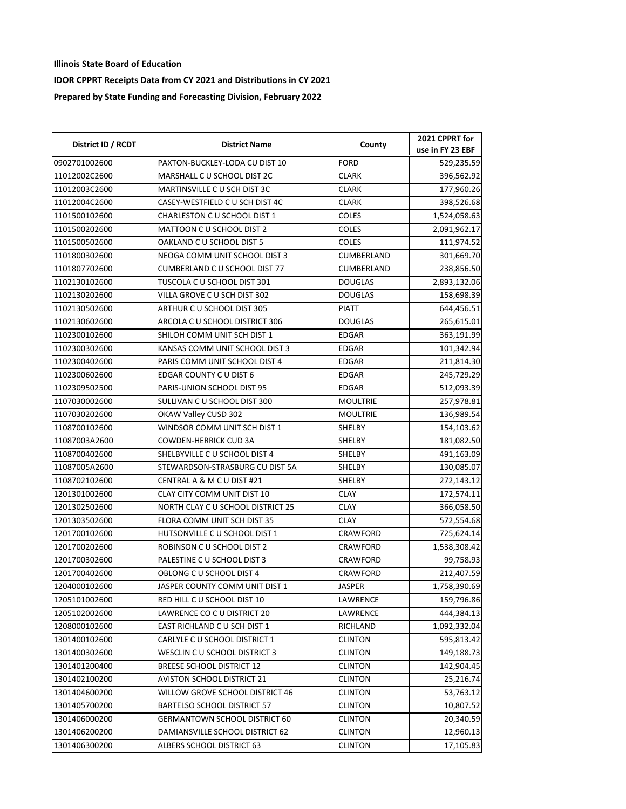| District ID / RCDT | <b>District Name</b>              | County          | 2021 CPPRT for                 |
|--------------------|-----------------------------------|-----------------|--------------------------------|
| 0902701002600      | PAXTON-BUCKLEY-LODA CU DIST 10    | <b>FORD</b>     | use in FY 23 EBF<br>529,235.59 |
| 11012002C2600      | MARSHALL C U SCHOOL DIST 2C       | <b>CLARK</b>    | 396,562.92                     |
| 11012003C2600      | MARTINSVILLE C U SCH DIST 3C      | <b>CLARK</b>    | 177,960.26                     |
| 11012004C2600      | CASEY-WESTFIELD C U SCH DIST 4C   | <b>CLARK</b>    | 398,526.68                     |
| 1101500102600      | CHARLESTON C U SCHOOL DIST 1      | <b>COLES</b>    | 1,524,058.63                   |
| 1101500202600      | MATTOON C U SCHOOL DIST 2         | COLES           | 2,091,962.17                   |
| 1101500502600      | OAKLAND C U SCHOOL DIST 5         | <b>COLES</b>    | 111,974.52                     |
| 1101800302600      | NEOGA COMM UNIT SCHOOL DIST 3     | CUMBERLAND      | 301,669.70                     |
| 1101807702600      | CUMBERLAND C U SCHOOL DIST 77     | CUMBERLAND      | 238,856.50                     |
| 1102130102600      | TUSCOLA C U SCHOOL DIST 301       | <b>DOUGLAS</b>  | 2,893,132.06                   |
| 1102130202600      | VILLA GROVE CU SCH DIST 302       | <b>DOUGLAS</b>  | 158,698.39                     |
| 1102130502600      | ARTHUR CU SCHOOL DIST 305         | <b>PIATT</b>    | 644,456.51                     |
| 1102130602600      | ARCOLA C U SCHOOL DISTRICT 306    | <b>DOUGLAS</b>  | 265,615.01                     |
| 1102300102600      | SHILOH COMM UNIT SCH DIST 1       | EDGAR           | 363,191.99                     |
| 1102300302600      | KANSAS COMM UNIT SCHOOL DIST 3    | <b>EDGAR</b>    | 101,342.94                     |
| 1102300402600      | PARIS COMM UNIT SCHOOL DIST 4     | <b>EDGAR</b>    | 211,814.30                     |
| 1102300602600      | EDGAR COUNTY CU DIST 6            | <b>EDGAR</b>    | 245,729.29                     |
| 1102309502500      | PARIS-UNION SCHOOL DIST 95        | <b>EDGAR</b>    | 512,093.39                     |
| 1107030002600      | SULLIVAN C U SCHOOL DIST 300      | <b>MOULTRIE</b> | 257,978.81                     |
| 1107030202600      | OKAW Valley CUSD 302              | <b>MOULTRIE</b> | 136,989.54                     |
| 1108700102600      | WINDSOR COMM UNIT SCH DIST 1      | <b>SHELBY</b>   | 154,103.62                     |
| 11087003A2600      | <b>COWDEN-HERRICK CUD 3A</b>      | SHELBY          | 181,082.50                     |
| 1108700402600      | SHELBYVILLE C U SCHOOL DIST 4     | SHELBY          | 491,163.09                     |
| 11087005A2600      | STEWARDSON-STRASBURG CU DIST 5A   | SHELBY          | 130,085.07                     |
| 1108702102600      | CENTRAL A & M C U DIST #21        | SHELBY          | 272,143.12                     |
| 1201301002600      | CLAY CITY COMM UNIT DIST 10       | <b>CLAY</b>     | 172,574.11                     |
| 1201302502600      | NORTH CLAY C U SCHOOL DISTRICT 25 | <b>CLAY</b>     | 366,058.50                     |
| 1201303502600      | FLORA COMM UNIT SCH DIST 35       | <b>CLAY</b>     | 572,554.68                     |
| 1201700102600      | HUTSONVILLE C U SCHOOL DIST 1     | CRAWFORD        | 725,624.14                     |
| 1201700202600      | ROBINSON C U SCHOOL DIST 2        | CRAWFORD        | 1,538,308.42                   |
| 1201700302600      | PALESTINE C U SCHOOL DIST 3       | <b>CRAWFORD</b> | 99,758.93                      |
| 1201700402600      | OBLONG C U SCHOOL DIST 4          | CRAWFORD        | 212,407.59                     |
| 1204000102600      | JASPER COUNTY COMM UNIT DIST 1    | JASPER          | 1,758,390.69                   |
| 1205101002600      | RED HILL C U SCHOOL DIST 10       | LAWRENCE        | 159,796.86                     |
| 1205102002600      | LAWRENCE CO C U DISTRICT 20       | LAWRENCE        | 444,384.13                     |
| 1208000102600      | EAST RICHLAND C U SCH DIST 1      | RICHLAND        | 1,092,332.04                   |
| 1301400102600      | CARLYLE C U SCHOOL DISTRICT 1     | <b>CLINTON</b>  | 595,813.42                     |
| 1301400302600      | WESCLIN C U SCHOOL DISTRICT 3     | CLINTON         | 149,188.73                     |
| 1301401200400      | <b>BREESE SCHOOL DISTRICT 12</b>  | <b>CLINTON</b>  | 142,904.45                     |
| 1301402100200      | AVISTON SCHOOL DISTRICT 21        | CLINTON         | 25,216.74                      |
| 1301404600200      | WILLOW GROVE SCHOOL DISTRICT 46   | <b>CLINTON</b>  | 53,763.12                      |
| 1301405700200      | BARTELSO SCHOOL DISTRICT 57       | <b>CLINTON</b>  | 10,807.52                      |
| 1301406000200      | GERMANTOWN SCHOOL DISTRICT 60     | <b>CLINTON</b>  | 20,340.59                      |
| 1301406200200      | DAMIANSVILLE SCHOOL DISTRICT 62   | CLINTON         | 12,960.13                      |
| 1301406300200      | ALBERS SCHOOL DISTRICT 63         | <b>CLINTON</b>  | 17,105.83                      |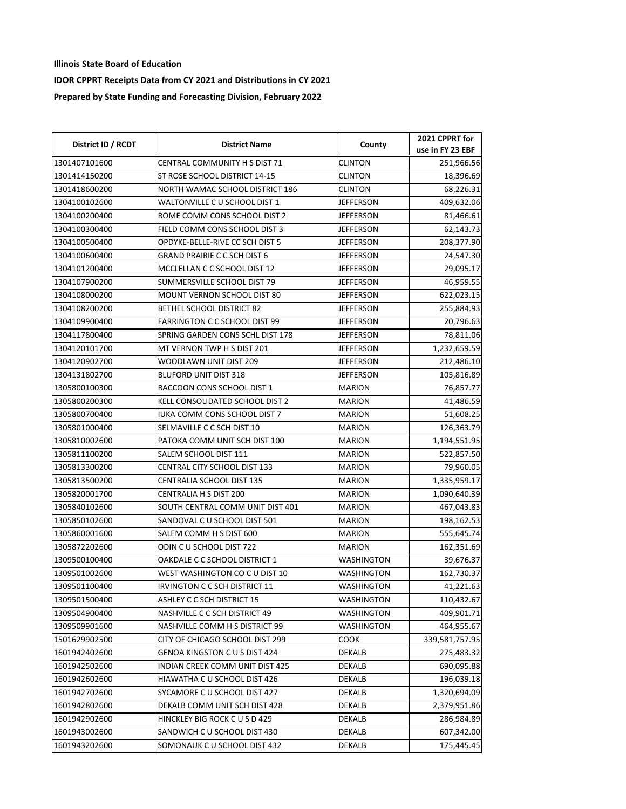| District ID / RCDT | <b>District Name</b>                | County            | 2021 CPPRT for   |
|--------------------|-------------------------------------|-------------------|------------------|
|                    |                                     |                   | use in FY 23 EBF |
| 1301407101600      | CENTRAL COMMUNITY H S DIST 71       | <b>CLINTON</b>    | 251,966.56       |
| 1301414150200      | ST ROSE SCHOOL DISTRICT 14-15       | CLINTON           | 18,396.69        |
| 1301418600200      | NORTH WAMAC SCHOOL DISTRICT 186     | CLINTON           | 68,226.31        |
| 1304100102600      | WALTONVILLE C U SCHOOL DIST 1       | <b>JEFFERSON</b>  | 409,632.06       |
| 1304100200400      | ROME COMM CONS SCHOOL DIST 2        | <b>JEFFERSON</b>  | 81,466.61        |
| 1304100300400      | FIELD COMM CONS SCHOOL DIST 3       | JEFFERSON         | 62,143.73        |
| 1304100500400      | OPDYKE-BELLE-RIVE CC SCH DIST 5     | JEFFERSON         | 208,377.90       |
| 1304100600400      | <b>GRAND PRAIRIE C C SCH DIST 6</b> | JEFFERSON         | 24,547.30        |
| 1304101200400      | MCCLELLAN C C SCHOOL DIST 12        | <b>JEFFERSON</b>  | 29,095.17        |
| 1304107900200      | SUMMERSVILLE SCHOOL DIST 79         | <b>JEFFERSON</b>  | 46,959.55        |
| 1304108000200      | MOUNT VERNON SCHOOL DIST 80         | <b>JEFFERSON</b>  | 622,023.15       |
| 1304108200200      | <b>BETHEL SCHOOL DISTRICT 82</b>    | <b>JEFFERSON</b>  | 255,884.93       |
| 1304109900400      | FARRINGTON C C SCHOOL DIST 99       | JEFFERSON         | 20,796.63        |
| 1304117800400      | SPRING GARDEN CONS SCHL DIST 178    | JEFFERSON         | 78,811.06        |
| 1304120101700      | MT VERNON TWP H S DIST 201          | JEFFERSON         | 1,232,659.59     |
| 1304120902700      | WOODLAWN UNIT DIST 209              | <b>JEFFERSON</b>  | 212,486.10       |
| 1304131802700      | <b>BLUFORD UNIT DIST 318</b>        | <b>JEFFERSON</b>  | 105,816.89       |
| 1305800100300      | RACCOON CONS SCHOOL DIST 1          | <b>MARION</b>     | 76,857.77        |
| 1305800200300      | KELL CONSOLIDATED SCHOOL DIST 2     | <b>MARION</b>     | 41,486.59        |
| 1305800700400      | IUKA COMM CONS SCHOOL DIST 7        | <b>MARION</b>     | 51,608.25        |
| 1305801000400      | SELMAVILLE C C SCH DIST 10          | MARION            | 126,363.79       |
| 1305810002600      | PATOKA COMM UNIT SCH DIST 100       | <b>MARION</b>     | 1,194,551.95     |
| 1305811100200      | SALEM SCHOOL DIST 111               | <b>MARION</b>     | 522,857.50       |
| 1305813300200      | CENTRAL CITY SCHOOL DIST 133        | <b>MARION</b>     | 79,960.05        |
| 1305813500200      | <b>CENTRALIA SCHOOL DIST 135</b>    | <b>MARION</b>     | 1,335,959.17     |
| 1305820001700      | CENTRALIA H S DIST 200              | <b>MARION</b>     | 1,090,640.39     |
| 1305840102600      | SOUTH CENTRAL COMM UNIT DIST 401    | MARION            | 467,043.83       |
| 1305850102600      | SANDOVAL C U SCHOOL DIST 501        | <b>MARION</b>     | 198,162.53       |
| 1305860001600      | SALEM COMM H S DIST 600             | <b>MARION</b>     | 555,645.74       |
| 1305872202600      | ODIN CU SCHOOL DIST 722             | <b>MARION</b>     | 162,351.69       |
| 1309500100400      | OAKDALE C C SCHOOL DISTRICT 1       | <b>WASHINGTON</b> | 39,676.37        |
| 1309501002600      | WEST WASHINGTON CO C U DIST 10      | WASHINGTON        | 162,730.37       |
| 1309501100400      | IRVINGTON C C SCH DISTRICT 11       | <b>WASHINGTON</b> | 41,221.63        |
| 1309501500400      | ASHLEY C C SCH DISTRICT 15          | WASHINGTON        | 110,432.67       |
| 1309504900400      | NASHVILLE C C SCH DISTRICT 49       | WASHINGTON        | 409,901.71       |
| 1309509901600      | NASHVILLE COMM H S DISTRICT 99      | WASHINGTON        | 464,955.67       |
| 1501629902500      | CITY OF CHICAGO SCHOOL DIST 299     | COOK              | 339,581,757.95   |
| 1601942402600      | GENOA KINGSTON C U S DIST 424       | <b>DEKALB</b>     | 275,483.32       |
| 1601942502600      | INDIAN CREEK COMM UNIT DIST 425     | DEKALB            | 690,095.88       |
| 1601942602600      | HIAWATHA C U SCHOOL DIST 426        | DEKALB            | 196,039.18       |
| 1601942702600      | SYCAMORE C U SCHOOL DIST 427        | DEKALB            | 1,320,694.09     |
| 1601942802600      | DEKALB COMM UNIT SCH DIST 428       | <b>DEKALB</b>     | 2,379,951.86     |
| 1601942902600      | HINCKLEY BIG ROCK CUSD 429          | DEKALB            | 286,984.89       |
| 1601943002600      | SANDWICH C U SCHOOL DIST 430        | DEKALB            | 607,342.00       |
| 1601943202600      | SOMONAUK C U SCHOOL DIST 432        | DEKALB            | 175,445.45       |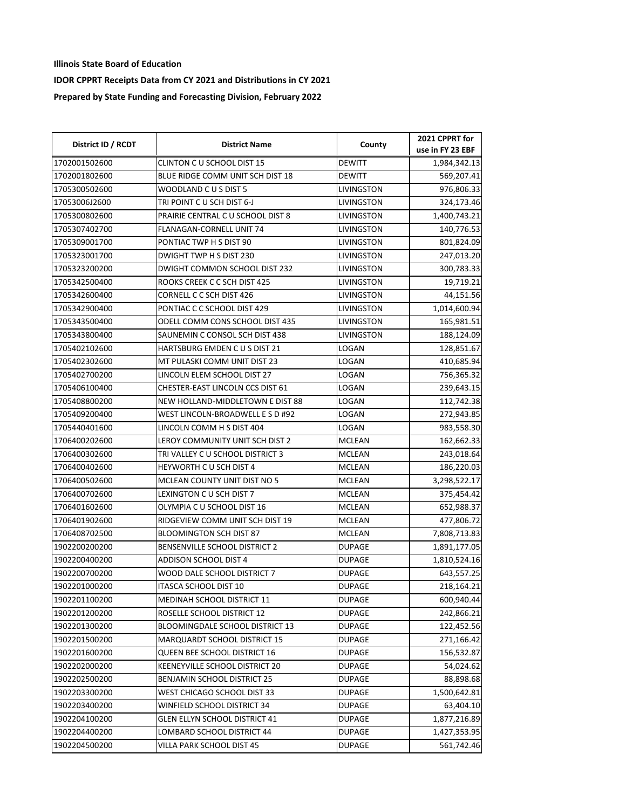| District ID / RCDT | <b>District Name</b>                | County            | 2021 CPPRT for   |
|--------------------|-------------------------------------|-------------------|------------------|
|                    |                                     |                   | use in FY 23 EBF |
| 1702001502600      | CLINTON C U SCHOOL DIST 15          | <b>DEWITT</b>     | 1,984,342.13     |
| 1702001802600      | BLUE RIDGE COMM UNIT SCH DIST 18    | DEWITT            | 569,207.41       |
| 1705300502600      | WOODLAND C U S DIST 5               | LIVINGSTON        | 976,806.33       |
| 17053006J2600      | TRI POINT C U SCH DIST 6-J          | LIVINGSTON        | 324,173.46       |
| 1705300802600      | PRAIRIE CENTRAL C U SCHOOL DIST 8   | LIVINGSTON        | 1,400,743.21     |
| 1705307402700      | FLANAGAN-CORNELL UNIT 74            | LIVINGSTON        | 140,776.53       |
| 1705309001700      | PONTIAC TWP H S DIST 90             | LIVINGSTON        | 801,824.09       |
| 1705323001700      | DWIGHT TWP H S DIST 230             | livingston        | 247,013.20       |
| 1705323200200      | DWIGHT COMMON SCHOOL DIST 232       | <b>LIVINGSTON</b> | 300,783.33       |
| 1705342500400      | ROOKS CREEK C C SCH DIST 425        | LIVINGSTON        | 19,719.21        |
| 1705342600400      | CORNELL C C SCH DIST 426            | LIVINGSTON        | 44,151.56        |
| 1705342900400      | PONTIAC C C SCHOOL DIST 429         | LIVINGSTON        | 1,014,600.94     |
| 1705343500400      | ODELL COMM CONS SCHOOL DIST 435     | LIVINGSTON        | 165,981.51       |
| 1705343800400      | SAUNEMIN C CONSOL SCH DIST 438      | LIVINGSTON        | 188,124.09       |
| 1705402102600      | HARTSBURG EMDEN C U S DIST 21       | LOGAN             | 128,851.67       |
| 1705402302600      | MT PULASKI COMM UNIT DIST 23        | LOGAN             | 410,685.94       |
| 1705402700200      | LINCOLN ELEM SCHOOL DIST 27         | LOGAN             | 756,365.32       |
| 1705406100400      | CHESTER-EAST LINCOLN CCS DIST 61    | LOGAN             | 239,643.15       |
| 1705408800200      | NEW HOLLAND-MIDDLETOWN E DIST 88    | LOGAN             | 112,742.38       |
| 1705409200400      | WEST LINCOLN-BROADWELL E S D #92    | LOGAN             | 272,943.85       |
| 1705440401600      | LINCOLN COMM H S DIST 404           | LOGAN             | 983,558.30       |
| 1706400202600      | LEROY COMMUNITY UNIT SCH DIST 2     | <b>MCLEAN</b>     | 162,662.33       |
| 1706400302600      | TRI VALLEY C U SCHOOL DISTRICT 3    | <b>MCLEAN</b>     | 243,018.64       |
| 1706400402600      | <b>HEYWORTH C U SCH DIST 4</b>      | MCLEAN            | 186,220.03       |
| 1706400502600      | MCLEAN COUNTY UNIT DIST NO 5        | <b>MCLEAN</b>     | 3,298,522.17     |
| 1706400702600      | LEXINGTON C U SCH DIST 7            | MCLEAN            | 375,454.42       |
| 1706401602600      | OLYMPIA C U SCHOOL DIST 16          | MCLEAN            | 652,988.37       |
| 1706401902600      | RIDGEVIEW COMM UNIT SCH DIST 19     | <b>MCLEAN</b>     | 477,806.72       |
| 1706408702500      | <b>BLOOMINGTON SCH DIST 87</b>      | <b>MCLEAN</b>     | 7,808,713.83     |
| 1902200200200      | BENSENVILLE SCHOOL DISTRICT 2       | <b>DUPAGE</b>     | 1,891,177.05     |
| 1902200400200      | ADDISON SCHOOL DIST 4               | <b>DUPAGE</b>     | 1,810,524.16     |
| 1902200700200      | WOOD DALE SCHOOL DISTRICT 7         | <b>DUPAGE</b>     | 643,557.25       |
| 1902201000200      | ITASCA SCHOOL DIST 10               | <b>DUPAGE</b>     | 218,164.21       |
| 1902201100200      | MEDINAH SCHOOL DISTRICT 11          | <b>DUPAGE</b>     | 600,940.44       |
| 1902201200200      | ROSELLE SCHOOL DISTRICT 12          | <b>DUPAGE</b>     | 242,866.21       |
| 1902201300200      | BLOOMINGDALE SCHOOL DISTRICT 13     | <b>DUPAGE</b>     | 122,452.56       |
| 1902201500200      | <b>MARQUARDT SCHOOL DISTRICT 15</b> | <b>DUPAGE</b>     | 271,166.42       |
| 1902201600200      | QUEEN BEE SCHOOL DISTRICT 16        | <b>DUPAGE</b>     | 156,532.87       |
| 1902202000200      | KEENEYVILLE SCHOOL DISTRICT 20      | DUPAGE            | 54,024.62        |
| 1902202500200      | <b>BENJAMIN SCHOOL DISTRICT 25</b>  | <b>DUPAGE</b>     | 88,898.68        |
| 1902203300200      | WEST CHICAGO SCHOOL DIST 33         | <b>DUPAGE</b>     | 1,500,642.81     |
| 1902203400200      | WINFIELD SCHOOL DISTRICT 34         | <b>DUPAGE</b>     | 63,404.10        |
| 1902204100200      | GLEN ELLYN SCHOOL DISTRICT 41       | <b>DUPAGE</b>     | 1,877,216.89     |
| 1902204400200      | LOMBARD SCHOOL DISTRICT 44          | <b>DUPAGE</b>     | 1,427,353.95     |
| 1902204500200      | VILLA PARK SCHOOL DIST 45           | DUPAGE            | 561,742.46       |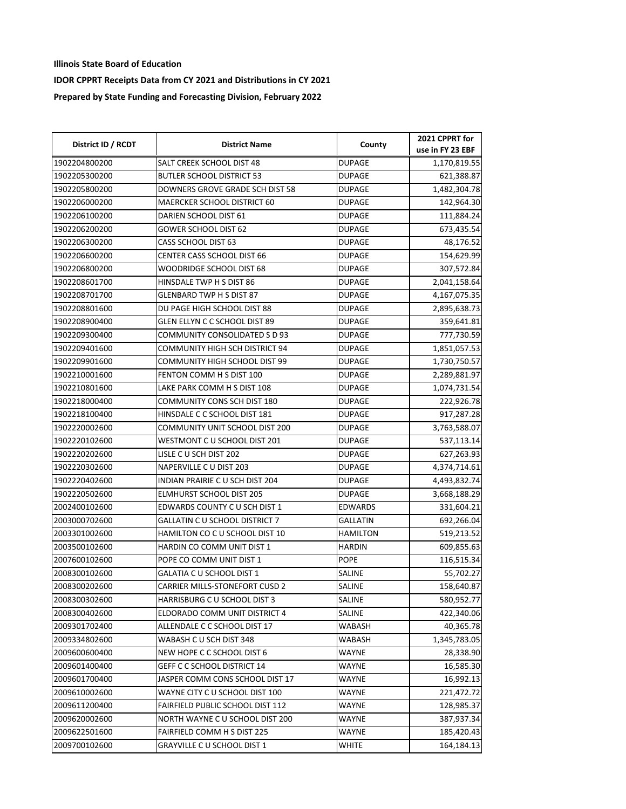| District ID / RCDT | <b>District Name</b>                  | County          | 2021 CPPRT for   |
|--------------------|---------------------------------------|-----------------|------------------|
|                    |                                       |                 | use in FY 23 EBF |
| 1902204800200      | SALT CREEK SCHOOL DIST 48             | <b>DUPAGE</b>   | 1,170,819.55     |
| 1902205300200      | <b>BUTLER SCHOOL DISTRICT 53</b>      | DUPAGE          | 621,388.87       |
| 1902205800200      | DOWNERS GROVE GRADE SCH DIST 58       | <b>DUPAGE</b>   | 1,482,304.78     |
| 1902206000200      | MAERCKER SCHOOL DISTRICT 60           | <b>DUPAGE</b>   | 142,964.30       |
| 1902206100200      | DARIEN SCHOOL DIST 61                 | <b>DUPAGE</b>   | 111,884.24       |
| 1902206200200      | GOWER SCHOOL DIST 62                  | <b>DUPAGE</b>   | 673,435.54       |
| 1902206300200      | CASS SCHOOL DIST 63                   | <b>DUPAGE</b>   | 48,176.52        |
| 1902206600200      | CENTER CASS SCHOOL DIST 66            | DUPAGE          | 154,629.99       |
| 1902206800200      | WOODRIDGE SCHOOL DIST 68              | <b>DUPAGE</b>   | 307,572.84       |
| 1902208601700      | HINSDALE TWP H S DIST 86              | <b>DUPAGE</b>   | 2,041,158.64     |
| 1902208701700      | GLENBARD TWP H S DIST 87              | <b>DUPAGE</b>   | 4,167,075.35     |
| 1902208801600      | DU PAGE HIGH SCHOOL DIST 88           | <b>DUPAGE</b>   | 2,895,638.73     |
| 1902208900400      | GLEN ELLYN C C SCHOOL DIST 89         | <b>DUPAGE</b>   | 359,641.81       |
| 1902209300400      | COMMUNITY CONSOLIDATED S D 93         | <b>DUPAGE</b>   | 777,730.59       |
| 1902209401600      | COMMUNITY HIGH SCH DISTRICT 94        | <b>DUPAGE</b>   | 1,851,057.53     |
| 1902209901600      | COMMUNITY HIGH SCHOOL DIST 99         | <b>DUPAGE</b>   | 1,730,750.57     |
| 1902210001600      | FENTON COMM H S DIST 100              | <b>DUPAGE</b>   | 2,289,881.97     |
| 1902210801600      | LAKE PARK COMM H S DIST 108           | <b>DUPAGE</b>   | 1,074,731.54     |
| 1902218000400      | COMMUNITY CONS SCH DIST 180           | <b>DUPAGE</b>   | 222,926.78       |
| 1902218100400      | HINSDALE C C SCHOOL DIST 181          | <b>DUPAGE</b>   | 917,287.28       |
| 1902220002600      | COMMUNITY UNIT SCHOOL DIST 200        | <b>DUPAGE</b>   | 3,763,588.07     |
| 1902220102600      | WESTMONT C U SCHOOL DIST 201          | <b>DUPAGE</b>   | 537,113.14       |
| 1902220202600      | LISLE C U SCH DIST 202                | <b>DUPAGE</b>   | 627,263.93       |
| 1902220302600      | NAPERVILLE C U DIST 203               | <b>DUPAGE</b>   | 4,374,714.61     |
| 1902220402600      | INDIAN PRAIRIE C U SCH DIST 204       | <b>DUPAGE</b>   | 4,493,832.74     |
| 1902220502600      | <b>ELMHURST SCHOOL DIST 205</b>       | <b>DUPAGE</b>   | 3,668,188.29     |
| 2002400102600      | EDWARDS COUNTY C U SCH DIST 1         | EDWARDS         | 331,604.21       |
| 2003000702600      | <b>GALLATIN C U SCHOOL DISTRICT 7</b> | GALLATIN        | 692,266.04       |
| 2003301002600      | HAMILTON CO C U SCHOOL DIST 10        | <b>HAMILTON</b> | 519,213.52       |
| 2003500102600      | HARDIN CO COMM UNIT DIST 1            | <b>HARDIN</b>   | 609,855.63       |
| 2007600102600      | POPE CO COMM UNIT DIST 1              | <b>POPE</b>     | 116,515.34       |
| 2008300102600      | GALATIA C U SCHOOL DIST 1             | SALINE          | 55,702.27        |
| 2008300202600      | <b>CARRIER MILLS-STONEFORT CUSD 2</b> | SALINE          | 158,640.87       |
| 2008300302600      | HARRISBURG C U SCHOOL DIST 3          | SALINE          | 580,952.77       |
| 2008300402600      | ELDORADO COMM UNIT DISTRICT 4         | SALINE          | 422,340.06       |
| 2009301702400      | ALLENDALE C C SCHOOL DIST 17          | WABASH          | 40,365.78        |
| 2009334802600      | WABASH C U SCH DIST 348               | WABASH          | 1,345,783.05     |
| 2009600600400      | NEW HOPE C C SCHOOL DIST 6            | <b>WAYNE</b>    | 28,338.90        |
| 2009601400400      | GEFF C C SCHOOL DISTRICT 14           | WAYNE           | 16,585.30        |
| 2009601700400      | JASPER COMM CONS SCHOOL DIST 17       | WAYNE           | 16,992.13        |
| 2009610002600      | WAYNE CITY C U SCHOOL DIST 100        | <b>WAYNE</b>    | 221,472.72       |
| 2009611200400      | FAIRFIELD PUBLIC SCHOOL DIST 112      | WAYNE           | 128,985.37       |
| 2009620002600      | NORTH WAYNE C U SCHOOL DIST 200       | <b>WAYNE</b>    | 387,937.34       |
| 2009622501600      | FAIRFIELD COMM H S DIST 225           | WAYNE           | 185,420.43       |
| 2009700102600      | <b>GRAYVILLE C U SCHOOL DIST 1</b>    | WHITE           | 164,184.13       |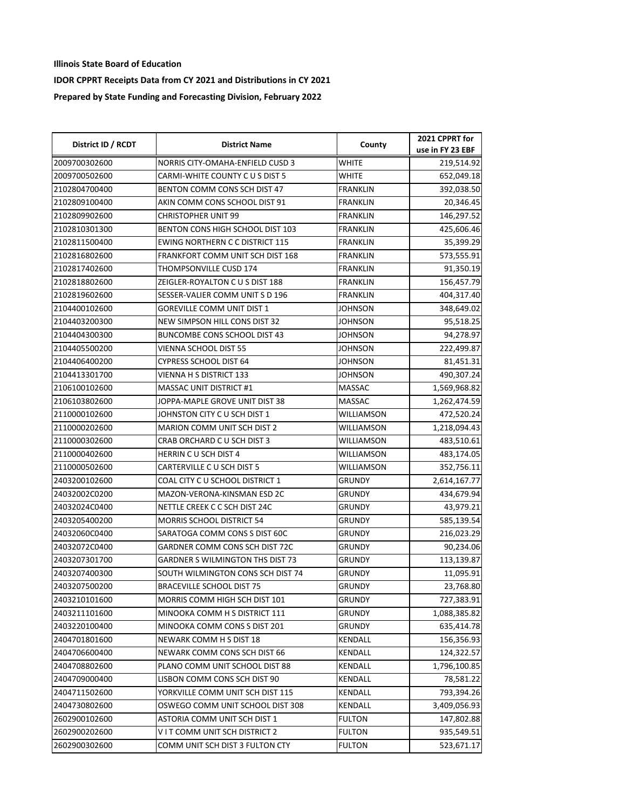| District ID / RCDT | <b>District Name</b>                    |                 | 2021 CPPRT for   |
|--------------------|-----------------------------------------|-----------------|------------------|
|                    |                                         | County          | use in FY 23 EBF |
| 2009700302600      | NORRIS CITY-OMAHA-ENFIELD CUSD 3        | WHITE           | 219,514.92       |
| 2009700502600      | CARMI-WHITE COUNTY C U S DIST 5         | WHITE           | 652,049.18       |
| 2102804700400      | BENTON COMM CONS SCH DIST 47            | <b>FRANKLIN</b> | 392,038.50       |
| 2102809100400      | AKIN COMM CONS SCHOOL DIST 91           | <b>FRANKLIN</b> | 20,346.45        |
| 2102809902600      | CHRISTOPHER UNIT 99                     | <b>FRANKLIN</b> | 146,297.52       |
| 2102810301300      | BENTON CONS HIGH SCHOOL DIST 103        | <b>FRANKLIN</b> | 425,606.46       |
| 2102811500400      | <b>EWING NORTHERN C C DISTRICT 115</b>  | <b>FRANKLIN</b> | 35,399.29        |
| 2102816802600      | FRANKFORT COMM UNIT SCH DIST 168        | <b>FRANKLIN</b> | 573,555.91       |
| 2102817402600      | THOMPSONVILLE CUSD 174                  | <b>FRANKLIN</b> | 91,350.19        |
| 2102818802600      | ZEIGLER-ROYALTON C U S DIST 188         | <b>FRANKLIN</b> | 156,457.79       |
| 2102819602600      | SESSER-VALIER COMM UNITS D 196          | <b>FRANKLIN</b> | 404,317.40       |
| 2104400102600      | GOREVILLE COMM UNIT DIST 1              | JOHNSON         | 348,649.02       |
| 2104403200300      | NEW SIMPSON HILL CONS DIST 32           | JOHNSON         | 95,518.25        |
| 2104404300300      | BUNCOMBE CONS SCHOOL DIST 43            | JOHNSON         | 94,278.97        |
| 2104405500200      | VIENNA SCHOOL DIST 55                   | JOHNSON         | 222,499.87       |
| 2104406400200      | CYPRESS SCHOOL DIST 64                  | <b>JOHNSON</b>  | 81,451.31        |
| 2104413301700      | VIENNA H S DISTRICT 133                 | JOHNSON         | 490,307.24       |
| 2106100102600      | <b>MASSAC UNIT DISTRICT #1</b>          | <b>MASSAC</b>   | 1,569,968.82     |
| 2106103802600      | JOPPA-MAPLE GROVE UNIT DIST 38          | MASSAC          | 1,262,474.59     |
| 2110000102600      | JOHNSTON CITY C U SCH DIST 1            | WILLIAMSON      | 472,520.24       |
| 2110000202600      | <b>MARION COMM UNIT SCH DIST 2</b>      | WILLIAMSON      | 1,218,094.43     |
| 2110000302600      | CRAB ORCHARD C U SCH DIST 3             | WILLIAMSON      | 483,510.61       |
| 2110000402600      | HERRIN CU SCH DIST 4                    | WILLIAMSON      | 483,174.05       |
| 2110000502600      | CARTERVILLE C U SCH DIST 5              | WILLIAMSON      | 352,756.11       |
| 2403200102600      | COAL CITY C U SCHOOL DISTRICT 1         | <b>GRUNDY</b>   | 2,614,167.77     |
| 24032002C0200      | MAZON-VERONA-KINSMAN ESD 2C             | GRUNDY          | 434,679.94       |
| 24032024C0400      | NETTLE CREEK C C SCH DIST 24C           | GRUNDY          | 43,979.21        |
| 2403205400200      | MORRIS SCHOOL DISTRICT 54               | GRUNDY          | 585,139.54       |
| 24032060C0400      | SARATOGA COMM CONS S DIST 60C           | <b>GRUNDY</b>   | 216,023.29       |
| 24032072C0400      | GARDNER COMM CONS SCH DIST 72C          | <b>GRUNDY</b>   | 90,234.06        |
| 2403207301700      | <b>GARDNER S WILMINGTON THS DIST 73</b> | <b>GRUNDY</b>   | 113,139.87       |
| 2403207400300      | SOUTH WILMINGTON CONS SCH DIST 74       | GRUNDY          | 11,095.91        |
| 2403207500200      | BRACEVILLE SCHOOL DIST 75               | <b>GRUNDY</b>   | 23,768.80        |
| 2403210101600      | MORRIS COMM HIGH SCH DIST 101           | GRUNDY          | 727,383.91       |
| 2403211101600      | MINOOKA COMM H S DISTRICT 111           | <b>GRUNDY</b>   | 1,088,385.82     |
| 2403220100400      | MINOOKA COMM CONS S DIST 201            | <b>GRUNDY</b>   | 635,414.78       |
| 2404701801600      | <b>NEWARK COMM H S DIST 18</b>          | <b>KENDALL</b>  | 156,356.93       |
| 2404706600400      | NEWARK COMM CONS SCH DIST 66            | KENDALL         | 124,322.57       |
| 2404708802600      | PLANO COMM UNIT SCHOOL DIST 88          | KENDALL         | 1,796,100.85     |
| 2404709000400      | LISBON COMM CONS SCH DIST 90            | KENDALL         | 78,581.22        |
| 2404711502600      | YORKVILLE COMM UNIT SCH DIST 115        | KENDALL         | 793,394.26       |
| 2404730802600      | OSWEGO COMM UNIT SCHOOL DIST 308        | KENDALL         | 3,409,056.93     |
| 2602900102600      | ASTORIA COMM UNIT SCH DIST 1            | <b>FULTON</b>   | 147,802.88       |
| 2602900202600      | VIT COMM UNIT SCH DISTRICT 2            | <b>FULTON</b>   | 935,549.51       |
| 2602900302600      | COMM UNIT SCH DIST 3 FULTON CTY         | FULTON          | 523,671.17       |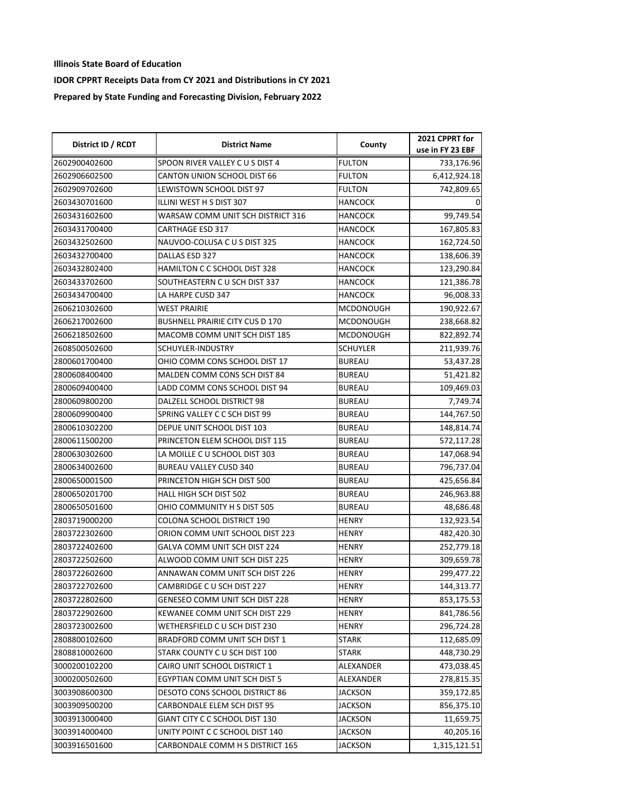| District ID / RCDT | <b>District Name</b>                   | County           | 2021 CPPRT for   |
|--------------------|----------------------------------------|------------------|------------------|
|                    |                                        |                  | use in FY 23 EBF |
| 2602900402600      | SPOON RIVER VALLEY CUS DIST 4          | <b>FULTON</b>    | 733,176.96       |
| 2602906602500      | CANTON UNION SCHOOL DIST 66            | <b>FULTON</b>    | 6,412,924.18     |
| 2602909702600      | LEWISTOWN SCHOOL DIST 97               | <b>FULTON</b>    | 742,809.65       |
| 2603430701600      | ILLINI WEST H S DIST 307               | <b>HANCOCK</b>   |                  |
| 2603431602600      | WARSAW COMM UNIT SCH DISTRICT 316      | <b>HANCOCK</b>   | 99,749.54        |
| 2603431700400      | <b>CARTHAGE ESD 317</b>                | <b>HANCOCK</b>   | 167,805.83       |
| 2603432502600      | NAUVOO-COLUSA C U S DIST 325           | <b>HANCOCK</b>   | 162,724.50       |
| 2603432700400      | DALLAS ESD 327                         | <b>HANCOCK</b>   | 138,606.39       |
| 2603432802400      | HAMILTON C C SCHOOL DIST 328           | HANCOCK          | 123,290.84       |
| 2603433702600      | SOUTHEASTERN CU SCH DIST 337           | <b>HANCOCK</b>   | 121,386.78       |
| 2603434700400      | LA HARPE CUSD 347                      | <b>HANCOCK</b>   | 96,008.33        |
| 2606210302600      | <b>WEST PRAIRIE</b>                    | <b>MCDONOUGH</b> | 190,922.67       |
| 2606217002600      | <b>BUSHNELL PRAIRIE CITY CUS D 170</b> | <b>MCDONOUGH</b> | 238,668.82       |
| 2606218502600      | MACOMB COMM UNIT SCH DIST 185          | <b>MCDONOUGH</b> | 822,892.74       |
| 2608500502600      | SCHUYLER-INDUSTRY                      | <b>SCHUYLER</b>  | 211,939.76       |
| 2800601700400      | OHIO COMM CONS SCHOOL DIST 17          | <b>BUREAU</b>    | 53,437.28        |
| 2800608400400      | MALDEN COMM CONS SCH DIST 84           | <b>BUREAU</b>    | 51,421.82        |
| 2800609400400      | LADD COMM CONS SCHOOL DIST 94          | <b>BUREAU</b>    | 109,469.03       |
| 2800609800200      | DALZELL SCHOOL DISTRICT 98             | <b>BUREAU</b>    | 7,749.74         |
| 2800609900400      | SPRING VALLEY C C SCH DIST 99          | <b>BUREAU</b>    | 144,767.50       |
| 2800610302200      | DEPUE UNIT SCHOOL DIST 103             | BUREAU           | 148,814.74       |
| 2800611500200      | PRINCETON ELEM SCHOOL DIST 115         | <b>BUREAU</b>    | 572,117.28       |
| 2800630302600      | LA MOILLE C U SCHOOL DIST 303          | <b>BUREAU</b>    | 147,068.94       |
| 2800634002600      | BUREAU VALLEY CUSD 340                 | <b>BUREAU</b>    | 796,737.04       |
| 2800650001500      | PRINCETON HIGH SCH DIST 500            | <b>BUREAU</b>    | 425,656.84       |
| 2800650201700      | HALL HIGH SCH DIST 502                 | <b>BUREAU</b>    | 246,963.88       |
| 2800650501600      | OHIO COMMUNITY H S DIST 505            | <b>BUREAU</b>    | 48,686.48        |
| 2803719000200      | COLONA SCHOOL DISTRICT 190             | <b>HENRY</b>     | 132,923.54       |
| 2803722302600      | ORION COMM UNIT SCHOOL DIST 223        | <b>HENRY</b>     | 482,420.30       |
| 2803722402600      | GALVA COMM UNIT SCH DIST 224           | <b>HENRY</b>     | 252,779.18       |
| 2803722502600      | ALWOOD COMM UNIT SCH DIST 225          | <b>HENRY</b>     | 309,659.78       |
| 2803722602600      | ANNAWAN COMM UNIT SCH DIST 226         | <b>HENRY</b>     | 299,477.22       |
| 2803722702600      | CAMBRIDGE C U SCH DIST 227             | <b>HENRY</b>     | 144,313.77       |
| 2803722802600      | GENESEO COMM UNIT SCH DIST 228         | <b>HENRY</b>     | 853,175.53       |
| 2803722902600      | KEWANEE COMM UNIT SCH DIST 229         | <b>HENRY</b>     | 841,786.56       |
| 2803723002600      | WETHERSFIELD C U SCH DIST 230          | <b>HENRY</b>     | 296,724.28       |
| 2808800102600      | BRADFORD COMM UNIT SCH DIST 1          | STARK            | 112,685.09       |
| 2808810002600      | STARK COUNTY C U SCH DIST 100          | STARK            | 448,730.29       |
| 3000200102200      | CAIRO UNIT SCHOOL DISTRICT 1           | ALEXANDER        | 473,038.45       |
| 3000200502600      | EGYPTIAN COMM UNIT SCH DIST 5          | ALEXANDER        | 278,815.35       |
| 3003908600300      | DESOTO CONS SCHOOL DISTRICT 86         | JACKSON          | 359,172.85       |
| 3003909500200      | CARBONDALE ELEM SCH DIST 95            | JACKSON          | 856,375.10       |
| 3003913000400      | GIANT CITY C C SCHOOL DIST 130         | JACKSON          | 11,659.75        |
| 3003914000400      | UNITY POINT C C SCHOOL DIST 140        | JACKSON          | 40,205.16        |
| 3003916501600      | CARBONDALE COMM H S DISTRICT 165       | JACKSON          | 1,315,121.51     |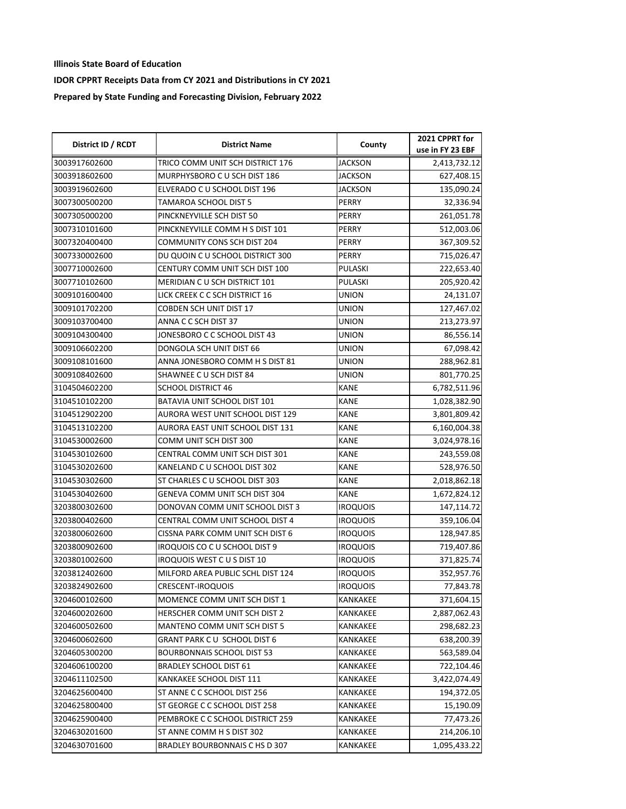| District ID / RCDT | <b>District Name</b>              | County          | 2021 CPPRT for   |
|--------------------|-----------------------------------|-----------------|------------------|
|                    |                                   |                 | use in FY 23 EBF |
| 3003917602600      | TRICO COMM UNIT SCH DISTRICT 176  | <b>JACKSON</b>  | 2,413,732.12     |
| 3003918602600      | MURPHYSBORO C U SCH DIST 186      | JACKSON         | 627,408.15       |
| 3003919602600      | ELVERADO C U SCHOOL DIST 196      | <b>JACKSON</b>  | 135,090.24       |
| 3007300500200      | TAMAROA SCHOOL DIST 5             | PERRY           | 32,336.94        |
| 3007305000200      | PINCKNEYVILLE SCH DIST 50         | PERRY           | 261,051.78       |
| 3007310101600      | PINCKNEYVILLE COMM H S DIST 101   | PERRY           | 512,003.06       |
| 3007320400400      | COMMUNITY CONS SCH DIST 204       | PERRY           | 367,309.52       |
| 3007330002600      | DU QUOIN C U SCHOOL DISTRICT 300  | PERRY           | 715,026.47       |
| 3007710002600      | CENTURY COMM UNIT SCH DIST 100    | PULASKI         | 222,653.40       |
| 3007710102600      | MERIDIAN CU SCH DISTRICT 101      | <b>PULASKI</b>  | 205,920.42       |
| 3009101600400      | LICK CREEK C C SCH DISTRICT 16    | UNION           | 24,131.07        |
| 3009101702200      | COBDEN SCH UNIT DIST 17           | UNION           | 127,467.02       |
| 3009103700400      | ANNA C C SCH DIST 37              | UNION           | 213,273.97       |
| 3009104300400      | JONESBORO C C SCHOOL DIST 43      | UNION           | 86,556.14        |
| 3009106602200      | DONGOLA SCH UNIT DIST 66          | <b>UNION</b>    | 67,098.42        |
| 3009108101600      | ANNA JONESBORO COMM H S DIST 81   | UNION           | 288,962.81       |
| 3009108402600      | SHAWNEE C U SCH DIST 84           | UNION           | 801,770.25       |
| 3104504602200      | <b>SCHOOL DISTRICT 46</b>         | KANE            | 6,782,511.96     |
| 3104510102200      | BATAVIA UNIT SCHOOL DIST 101      | KANE            | 1,028,382.90     |
| 3104512902200      | AURORA WEST UNIT SCHOOL DIST 129  | KANE            | 3,801,809.42     |
| 3104513102200      | AURORA EAST UNIT SCHOOL DIST 131  | KANE            | 6,160,004.38     |
| 3104530002600      | COMM UNIT SCH DIST 300            | <b>KANE</b>     | 3,024,978.16     |
| 3104530102600      | CENTRAL COMM UNIT SCH DIST 301    | <b>KANE</b>     | 243,559.08       |
| 3104530202600      | KANELAND C U SCHOOL DIST 302      | KANE            | 528,976.50       |
| 3104530302600      | ST CHARLES C U SCHOOL DIST 303    | <b>KANE</b>     | 2,018,862.18     |
| 3104530402600      | GENEVA COMM UNIT SCH DIST 304     | KANE            | 1,672,824.12     |
| 3203800302600      | DONOVAN COMM UNIT SCHOOL DIST 3   | <b>IROQUOIS</b> | 147,114.72       |
| 3203800402600      | CENTRAL COMM UNIT SCHOOL DIST 4   | <b>IROQUOIS</b> | 359,106.04       |
| 3203800602600      | CISSNA PARK COMM UNIT SCH DIST 6  | <b>IROQUOIS</b> | 128,947.85       |
| 3203800902600      | IROQUOIS CO C U SCHOOL DIST 9     | <b>IROQUOIS</b> | 719,407.86       |
| 3203801002600      | IROQUOIS WEST C U S DIST 10       | <b>IROQUOIS</b> | 371,825.74       |
| 3203812402600      | MILFORD AREA PUBLIC SCHL DIST 124 | <b>IROQUOIS</b> | 352,957.76       |
| 3203824902600      | CRESCENT-IROQUOIS                 | <b>IROQUOIS</b> | 77,843.78        |
| 3204600102600      | MOMENCE COMM UNIT SCH DIST 1      | KANKAKEE        | 371,604.15       |
| 3204600202600      | HERSCHER COMM UNIT SCH DIST 2     | KANKAKEE        | 2,887,062.43     |
| 3204600502600      | MANTENO COMM UNIT SCH DIST 5      | KANKAKEE        | 298,682.23       |
| 3204600602600      | GRANT PARK CU SCHOOL DIST 6       | KANKAKEE        | 638,200.39       |
| 3204605300200      | <b>BOURBONNAIS SCHOOL DIST 53</b> | KANKAKEE        | 563,589.04       |
| 3204606100200      | <b>BRADLEY SCHOOL DIST 61</b>     | KANKAKEE        | 722,104.46       |
| 3204611102500      | KANKAKEE SCHOOL DIST 111          | KANKAKEE        | 3,422,074.49     |
| 3204625600400      | ST ANNE C C SCHOOL DIST 256       | KANKAKEE        | 194,372.05       |
| 3204625800400      | ST GEORGE C C SCHOOL DIST 258     | KANKAKEE        | 15,190.09        |
| 3204625900400      | PEMBROKE C C SCHOOL DISTRICT 259  | KANKAKEE        | 77,473.26        |
| 3204630201600      | ST ANNE COMM H S DIST 302         | KANKAKEE        | 214,206.10       |
| 3204630701600      | BRADLEY BOURBONNAIS C HS D 307    | KANKAKEE        | 1,095,433.22     |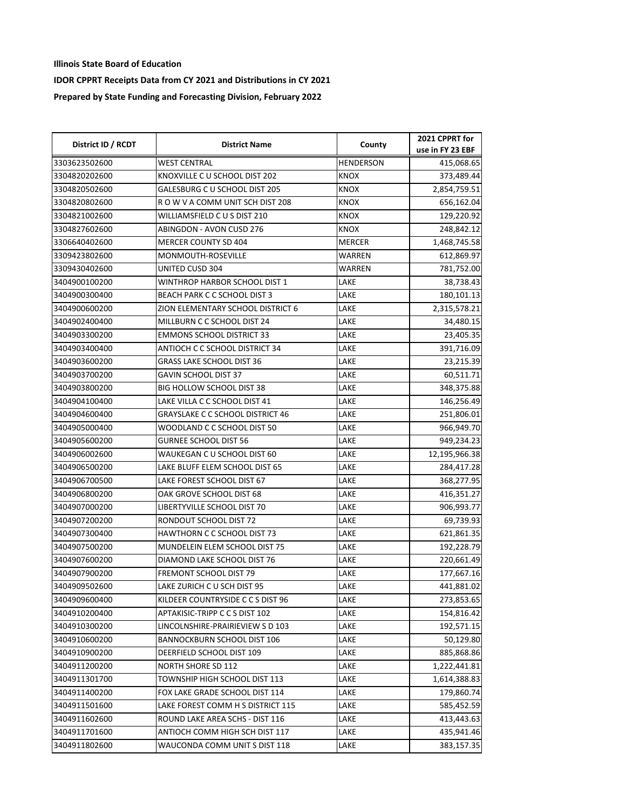| District ID / RCDT | <b>District Name</b>               | County           | 2021 CPPRT for<br>use in FY 23 EBF |
|--------------------|------------------------------------|------------------|------------------------------------|
| 3303623502600      | <b>WEST CENTRAL</b>                | <b>HENDERSON</b> | 415,068.65                         |
| 3304820202600      | KNOXVILLE C U SCHOOL DIST 202      | KNOX             | 373,489.44                         |
| 3304820502600      | GALESBURG C U SCHOOL DIST 205      | <b>KNOX</b>      | 2,854,759.51                       |
| 3304820802600      | R O W V A COMM UNIT SCH DIST 208   | <b>KNOX</b>      | 656,162.04                         |
| 3304821002600      | WILLIAMSFIELD CUS DIST 210         | KNOX             | 129,220.92                         |
| 3304827602600      | ABINGDON - AVON CUSD 276           | KNOX             | 248,842.12                         |
| 3306640402600      | MERCER COUNTY SD 404               | <b>MERCER</b>    | 1,468,745.58                       |
| 3309423802600      | MONMOUTH-ROSEVILLE                 | WARREN           | 612,869.97                         |
| 3309430402600      | UNITED CUSD 304                    | WARREN           | 781,752.00                         |
| 3404900100200      | WINTHROP HARBOR SCHOOL DIST 1      | LAKE             | 38,738.43                          |
| 3404900300400      | BEACH PARK C C SCHOOL DIST 3       | LAKE             | 180,101.13                         |
| 3404900600200      | ZION ELEMENTARY SCHOOL DISTRICT 6  | LAKE             | 2,315,578.21                       |
| 3404902400400      | MILLBURN C C SCHOOL DIST 24        | LAKE             | 34,480.15                          |
| 3404903300200      | <b>EMMONS SCHOOL DISTRICT 33</b>   | LAKE             | 23,405.35                          |
| 3404903400400      | ANTIOCH C C SCHOOL DISTRICT 34     | LAKE             | 391,716.09                         |
| 3404903600200      | <b>GRASS LAKE SCHOOL DIST 36</b>   | LAKE             | 23,215.39                          |
| 3404903700200      | GAVIN SCHOOL DIST 37               | LAKE             | 60,511.71                          |
| 3404903800200      | BIG HOLLOW SCHOOL DIST 38          | LAKE             | 348,375.88                         |
| 3404904100400      | LAKE VILLA C C SCHOOL DIST 41      | LAKE             | 146,256.49                         |
| 3404904600400      | GRAYSLAKE C C SCHOOL DISTRICT 46   | LAKE             | 251,806.01                         |
| 3404905000400      | WOODLAND C C SCHOOL DIST 50        | LAKE             | 966,949.70                         |
| 3404905600200      | <b>GURNEE SCHOOL DIST 56</b>       | LAKE             | 949,234.23                         |
| 3404906002600      | WAUKEGAN C U SCHOOL DIST 60        | LAKE             | 12,195,966.38                      |
| 3404906500200      | LAKE BLUFF ELEM SCHOOL DIST 65     | LAKE             | 284,417.28                         |
| 3404906700500      | LAKE FOREST SCHOOL DIST 67         | LAKE             | 368,277.95                         |
| 3404906800200      | OAK GROVE SCHOOL DIST 68           | LAKE             | 416,351.27                         |
| 3404907000200      | LIBERTYVILLE SCHOOL DIST 70        | LAKE             | 906,993.77                         |
| 3404907200200      | RONDOUT SCHOOL DIST 72             | LAKE             | 69,739.93                          |
| 3404907300400      | HAWTHORN C C SCHOOL DIST 73        | LAKE             | 621,861.35                         |
| 3404907500200      | MUNDELEIN ELEM SCHOOL DIST 75      | LAKE             | 192,228.79                         |
| 3404907600200      | DIAMOND LAKE SCHOOL DIST 76        | LAKE             | 220,661.49                         |
| 3404907900200      | FREMONT SCHOOL DIST 79             | LAKE             | 177,667.16                         |
| 3404909502600      | LAKE ZURICH C U SCH DIST 95        | LAKE             | 441,881.02                         |
| 3404909600400      | KILDEER COUNTRYSIDE C C S DIST 96  | LAKE             | 273,853.65                         |
| 3404910200400      | APTAKISIC-TRIPP CCS DIST 102       | LAKE             | 154,816.42                         |
| 3404910300200      | LINCOLNSHIRE-PRAIRIEVIEW S D 103   | LAKE             | 192,571.15                         |
| 3404910600200      | <b>BANNOCKBURN SCHOOL DIST 106</b> | LAKE             | 50,129.80                          |
| 3404910900200      | DEERFIELD SCHOOL DIST 109          | LAKE             | 885,868.86                         |
| 3404911200200      | NORTH SHORE SD 112                 | LAKE             | 1,222,441.81                       |
| 3404911301700      | TOWNSHIP HIGH SCHOOL DIST 113      | LAKE             | 1,614,388.83                       |
| 3404911400200      | FOX LAKE GRADE SCHOOL DIST 114     | LAKE             | 179,860.74                         |
| 3404911501600      | LAKE FOREST COMM H S DISTRICT 115  | LAKE             | 585,452.59                         |
| 3404911602600      | ROUND LAKE AREA SCHS - DIST 116    | LAKE             | 413,443.63                         |
| 3404911701600      | ANTIOCH COMM HIGH SCH DIST 117     | LAKE             | 435,941.46                         |
| 3404911802600      | WAUCONDA COMM UNIT S DIST 118      | LAKE             | 383,157.35                         |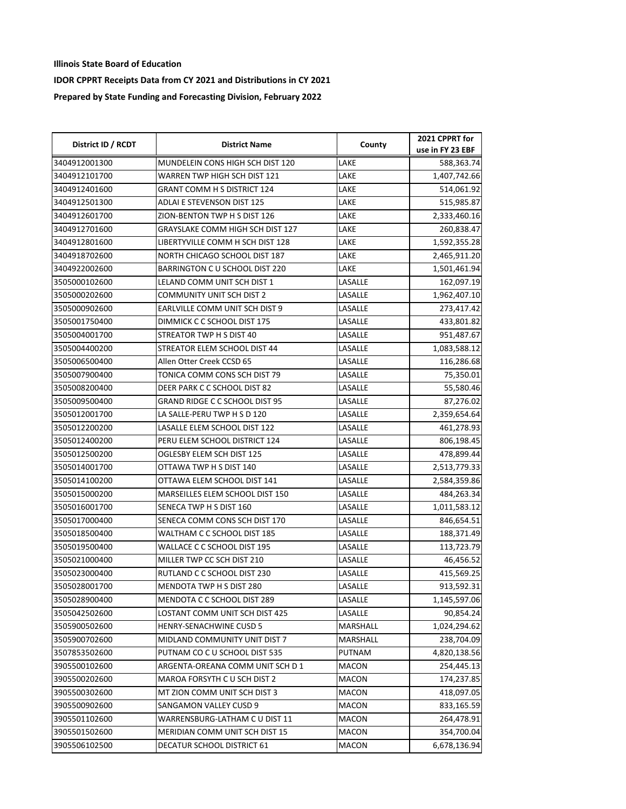| District ID / RCDT | <b>District Name</b>                    | County   | 2021 CPPRT for   |
|--------------------|-----------------------------------------|----------|------------------|
|                    |                                         |          | use in FY 23 EBF |
| 3404912001300      | MUNDELEIN CONS HIGH SCH DIST 120        | LAKE     | 588,363.74       |
| 3404912101700      | WARREN TWP HIGH SCH DIST 121            | LAKE     | 1,407,742.66     |
| 3404912401600      | <b>GRANT COMM H S DISTRICT 124</b>      | LAKE     | 514,061.92       |
| 3404912501300      | ADLAI E STEVENSON DIST 125              | LAKE     | 515,985.87       |
| 3404912601700      | ZION-BENTON TWP H S DIST 126            | LAKE     | 2,333,460.16     |
| 3404912701600      | <b>GRAYSLAKE COMM HIGH SCH DIST 127</b> | LAKE     | 260,838.47       |
| 3404912801600      | LIBERTYVILLE COMM H SCH DIST 128        | LAKE     | 1,592,355.28     |
| 3404918702600      | NORTH CHICAGO SCHOOL DIST 187           | LAKE     | 2,465,911.20     |
| 3404922002600      | BARRINGTON C U SCHOOL DIST 220          | LAKE     | 1,501,461.94     |
| 3505000102600      | LELAND COMM UNIT SCH DIST 1             | LASALLE  | 162,097.19       |
| 3505000202600      | <b>COMMUNITY UNIT SCH DIST 2</b>        | LASALLE  | 1,962,407.10     |
| 3505000902600      | EARLVILLE COMM UNIT SCH DIST 9          | LASALLE  | 273,417.42       |
| 3505001750400      | DIMMICK C C SCHOOL DIST 175             | LASALLE  | 433,801.82       |
| 3505004001700      | STREATOR TWP H S DIST 40                | LASALLE  | 951,487.67       |
| 3505004400200      | STREATOR ELEM SCHOOL DIST 44            | LASALLE  | 1,083,588.12     |
| 3505006500400      | Allen Otter Creek CCSD 65               | LASALLE  | 116,286.68       |
| 3505007900400      | TONICA COMM CONS SCH DIST 79            | LASALLE  | 75,350.01        |
| 3505008200400      | DEER PARK C C SCHOOL DIST 82            | LASALLE  | 55,580.46        |
| 3505009500400      | <b>GRAND RIDGE C C SCHOOL DIST 95</b>   | LASALLE  | 87,276.02        |
| 3505012001700      | LA SALLE-PERU TWP H S D 120             | LASALLE  | 2,359,654.64     |
| 3505012200200      | LASALLE ELEM SCHOOL DIST 122            | LASALLE  | 461,278.93       |
| 3505012400200      | PERU ELEM SCHOOL DISTRICT 124           | LASALLE  | 806,198.45       |
| 3505012500200      | OGLESBY ELEM SCH DIST 125               | LASALLE  | 478,899.44       |
| 3505014001700      | OTTAWA TWP H S DIST 140                 | LASALLE  | 2,513,779.33     |
| 3505014100200      | OTTAWA ELEM SCHOOL DIST 141             | LASALLE  | 2,584,359.86     |
| 3505015000200      | MARSEILLES ELEM SCHOOL DIST 150         | LASALLE  | 484,263.34       |
| 3505016001700      | SENECA TWP H S DIST 160                 | LASALLE  | 1,011,583.12     |
| 3505017000400      | SENECA COMM CONS SCH DIST 170           | LASALLE  | 846,654.51       |
| 3505018500400      | WALTHAM C C SCHOOL DIST 185             | LASALLE  | 188,371.49       |
| 3505019500400      | WALLACE C C SCHOOL DIST 195             | LASALLE  | 113,723.79       |
| 3505021000400      | MILLER TWP CC SCH DIST 210              | LASALLE  | 46,456.52        |
| 3505023000400      | RUTLAND C C SCHOOL DIST 230             | LASALLE  | 415,569.25       |
| 3505028001700      | MENDOTA TWP H S DIST 280                | LASALLE  | 913,592.31       |
| 3505028900400      | MENDOTA C C SCHOOL DIST 289             | LASALLE  | 1,145,597.06     |
| 3505042502600      | LOSTANT COMM UNIT SCH DIST 425          | LASALLE  | 90,854.24        |
| 3505900502600      | HENRY-SENACHWINE CUSD 5                 | MARSHALL | 1,024,294.62     |
| 3505900702600      | MIDLAND COMMUNITY UNIT DIST 7           | MARSHALL | 238,704.09       |
| 3507853502600      | PUTNAM CO C U SCHOOL DIST 535           | PUTNAM   | 4,820,138.56     |
| 3905500102600      | ARGENTA-OREANA COMM UNIT SCH D 1        | MACON    | 254,445.13       |
| 3905500202600      | MAROA FORSYTH C U SCH DIST 2            | MACON    | 174,237.85       |
| 3905500302600      | MT ZION COMM UNIT SCH DIST 3            | MACON    | 418,097.05       |
| 3905500902600      | SANGAMON VALLEY CUSD 9                  | MACON    | 833,165.59       |
| 3905501102600      | WARRENSBURG-LATHAM C U DIST 11          | MACON    | 264,478.91       |
| 3905501502600      | MERIDIAN COMM UNIT SCH DIST 15          | MACON    | 354,700.04       |
| 3905506102500      | DECATUR SCHOOL DISTRICT 61              | MACON    | 6,678,136.94     |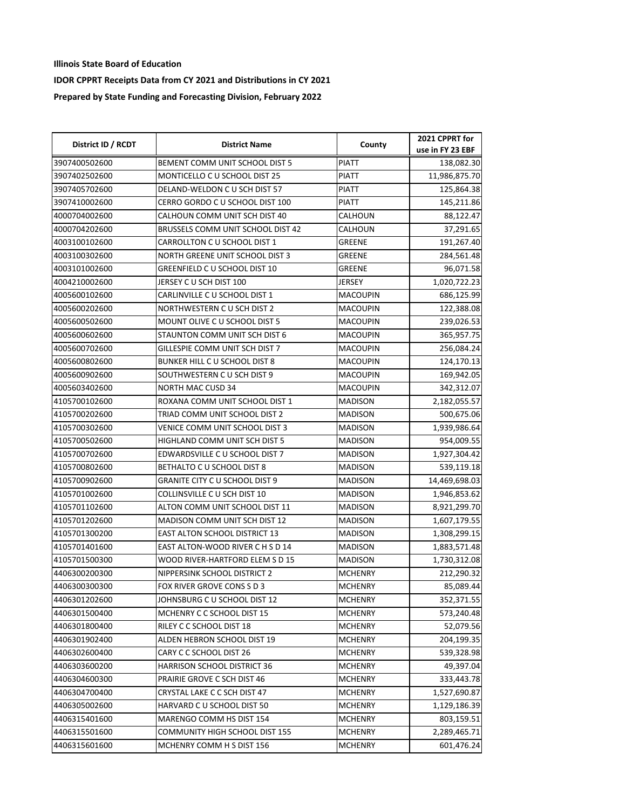| District ID / RCDT | <b>District Name</b>                 | County          | 2021 CPPRT for<br>use in FY 23 EBF |
|--------------------|--------------------------------------|-----------------|------------------------------------|
| 3907400502600      | BEMENT COMM UNIT SCHOOL DIST 5       | <b>PIATT</b>    | 138,082.30                         |
| 3907402502600      | MONTICELLO C U SCHOOL DIST 25        | PIATT           | 11,986,875.70                      |
| 3907405702600      | DELAND-WELDON C U SCH DIST 57        | <b>PIATT</b>    | 125,864.38                         |
| 3907410002600      | CERRO GORDO C U SCHOOL DIST 100      | <b>PIATT</b>    | 145,211.86                         |
| 4000704002600      | CALHOUN COMM UNIT SCH DIST 40        | CALHOUN         | 88,122.47                          |
| 4000704202600      | BRUSSELS COMM UNIT SCHOOL DIST 42    | CALHOUN         | 37,291.65                          |
| 4003100102600      | CARROLLTON C U SCHOOL DIST 1         | GREENE          | 191,267.40                         |
| 4003100302600      | NORTH GREENE UNIT SCHOOL DIST 3      | GREENE          | 284,561.48                         |
| 4003101002600      | GREENFIELD C U SCHOOL DIST 10        | GREENE          | 96,071.58                          |
| 4004210002600      | JERSEY C U SCH DIST 100              | JERSEY          | 1,020,722.23                       |
| 4005600102600      | CARLINVILLE C U SCHOOL DIST 1        | <b>MACOUPIN</b> | 686,125.99                         |
| 4005600202600      | NORTHWESTERN C U SCH DIST 2          | <b>MACOUPIN</b> | 122,388.08                         |
| 4005600502600      | MOUNT OLIVE C U SCHOOL DIST 5        | <b>MACOUPIN</b> | 239,026.53                         |
| 4005600602600      | STAUNTON COMM UNIT SCH DIST 6        | <b>MACOUPIN</b> | 365,957.75                         |
| 4005600702600      | GILLESPIE COMM UNIT SCH DIST 7       | <b>MACOUPIN</b> | 256,084.24                         |
| 4005600802600      | BUNKER HILL C U SCHOOL DIST 8        | <b>MACOUPIN</b> | 124,170.13                         |
| 4005600902600      | SOUTHWESTERN C U SCH DIST 9          | <b>MACOUPIN</b> | 169,942.05                         |
| 4005603402600      | <b>NORTH MAC CUSD 34</b>             | <b>MACOUPIN</b> | 342,312.07                         |
| 4105700102600      | ROXANA COMM UNIT SCHOOL DIST 1       | <b>MADISON</b>  | 2,182,055.57                       |
| 4105700202600      | TRIAD COMM UNIT SCHOOL DIST 2        | <b>MADISON</b>  | 500,675.06                         |
| 4105700302600      | VENICE COMM UNIT SCHOOL DIST 3       | <b>MADISON</b>  | 1,939,986.64                       |
| 4105700502600      | HIGHLAND COMM UNIT SCH DIST 5        | <b>MADISON</b>  | 954,009.55                         |
| 4105700702600      | EDWARDSVILLE C U SCHOOL DIST 7       | <b>MADISON</b>  | 1,927,304.42                       |
| 4105700802600      | BETHALTO C U SCHOOL DIST 8           | <b>MADISON</b>  | 539,119.18                         |
| 4105700902600      | GRANITE CITY C U SCHOOL DIST 9       | <b>MADISON</b>  | 14,469,698.03                      |
| 4105701002600      | COLLINSVILLE C U SCH DIST 10         | MADISON         | 1,946,853.62                       |
| 4105701102600      | ALTON COMM UNIT SCHOOL DIST 11       | MADISON         | 8,921,299.70                       |
| 4105701202600      | MADISON COMM UNIT SCH DIST 12        | <b>MADISON</b>  | 1,607,179.55                       |
| 4105701300200      | <b>EAST ALTON SCHOOL DISTRICT 13</b> | <b>MADISON</b>  | 1,308,299.15                       |
| 4105701401600      | EAST ALTON-WOOD RIVER C H S D 14     | <b>MADISON</b>  | 1,883,571.48                       |
| 4105701500300      | WOOD RIVER-HARTFORD ELEM S D 15      | <b>MADISON</b>  | 1,730,312.08                       |
| 4406300200300      | NIPPERSINK SCHOOL DISTRICT 2         | <b>MCHENRY</b>  | 212,290.32                         |
| 4406300300300      | FOX RIVER GROVE CONS S D 3           | <b>MCHENRY</b>  | 85,089.44                          |
| 4406301202600      | JOHNSBURG C U SCHOOL DIST 12         | <b>MCHENRY</b>  | 352,371.55                         |
| 4406301500400      | MCHENRY C C SCHOOL DIST 15           | <b>MCHENRY</b>  | 573,240.48                         |
| 4406301800400      | RILEY C C SCHOOL DIST 18             | <b>MCHENRY</b>  | 52,079.56                          |
| 4406301902400      | ALDEN HEBRON SCHOOL DIST 19          | <b>MCHENRY</b>  | 204,199.35                         |
| 4406302600400      | CARY C C SCHOOL DIST 26              | <b>MCHENRY</b>  | 539,328.98                         |
| 4406303600200      | <b>HARRISON SCHOOL DISTRICT 36</b>   | <b>MCHENRY</b>  | 49,397.04                          |
| 4406304600300      | PRAIRIE GROVE C SCH DIST 46          | MCHENRY         | 333,443.78                         |
| 4406304700400      | CRYSTAL LAKE C C SCH DIST 47         | <b>MCHENRY</b>  | 1,527,690.87                       |
| 4406305002600      | HARVARD C U SCHOOL DIST 50           | <b>MCHENRY</b>  | 1,129,186.39                       |
| 4406315401600      | MARENGO COMM HS DIST 154             | <b>MCHENRY</b>  | 803,159.51                         |
| 4406315501600      | COMMUNITY HIGH SCHOOL DIST 155       | <b>MCHENRY</b>  | 2,289,465.71                       |
| 4406315601600      | MCHENRY COMM H S DIST 156            | MCHENRY         | 601,476.24                         |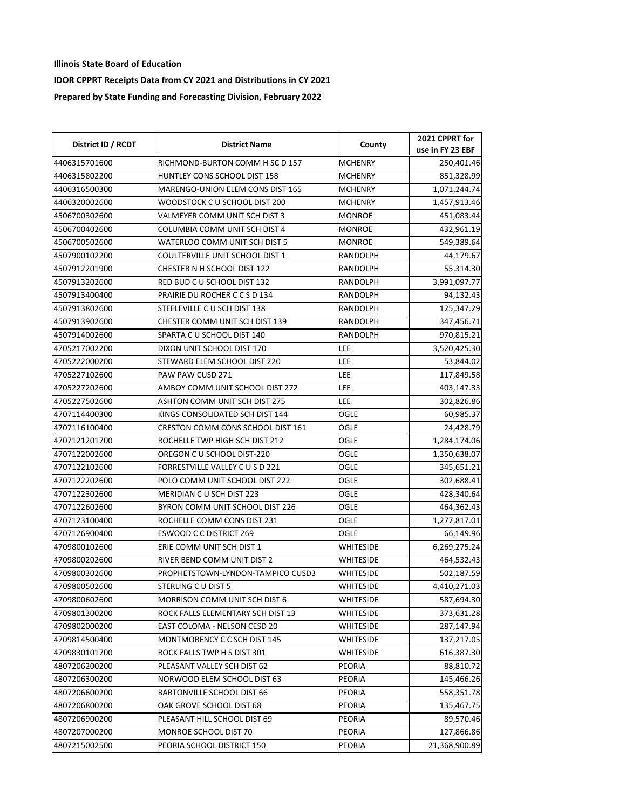| District ID / RCDT | <b>District Name</b>              | County           | 2021 CPPRT for   |
|--------------------|-----------------------------------|------------------|------------------|
|                    |                                   |                  | use in FY 23 EBF |
| 4406315701600      | RICHMOND-BURTON COMM H SC D 157   | <b>MCHENRY</b>   | 250,401.46       |
| 4406315802200      | HUNTLEY CONS SCHOOL DIST 158      | <b>MCHENRY</b>   | 851,328.99       |
| 4406316500300      | MARENGO-UNION ELEM CONS DIST 165  | <b>MCHENRY</b>   | 1,071,244.74     |
| 4406320002600      | WOODSTOCK C U SCHOOL DIST 200     | <b>MCHENRY</b>   | 1,457,913.46     |
| 4506700302600      | VALMEYER COMM UNIT SCH DIST 3     | <b>MONROE</b>    | 451,083.44       |
| 4506700402600      | COLUMBIA COMM UNIT SCH DIST 4     | <b>MONROE</b>    | 432,961.19       |
| 4506700502600      | WATERLOO COMM UNIT SCH DIST 5     | <b>MONROE</b>    | 549,389.64       |
| 4507900102200      | COULTERVILLE UNIT SCHOOL DIST 1   | RANDOLPH         | 44,179.67        |
| 4507912201900      | CHESTER N H SCHOOL DIST 122       | RANDOLPH         | 55,314.30        |
| 4507913202600      | RED BUD C U SCHOOL DIST 132       | RANDOLPH         | 3,991,097.77     |
| 4507913400400      | PRAIRIE DU ROCHER CCSD 134        | RANDOLPH         | 94,132.43        |
| 4507913802600      | STEELEVILLE C U SCH DIST 138      | <b>RANDOLPH</b>  | 125,347.29       |
| 4507913902600      | CHESTER COMM UNIT SCH DIST 139    | RANDOLPH         | 347,456.71       |
| 4507914002600      | SPARTA C U SCHOOL DIST 140        | RANDOLPH         | 970,815.21       |
| 4705217002200      | DIXON UNIT SCHOOL DIST 170        | LEE              | 3,520,425.30     |
| 4705222000200      | STEWARD ELEM SCHOOL DIST 220      | <b>LEE</b>       | 53,844.02        |
| 4705227102600      | PAW PAW CUSD 271                  | LEE              | 117,849.58       |
| 4705227202600      | AMBOY COMM UNIT SCHOOL DIST 272   | LEE              | 403,147.33       |
| 4705227502600      | ASHTON COMM UNIT SCH DIST 275     | LEE              | 302,826.86       |
| 4707114400300      | KINGS CONSOLIDATED SCH DIST 144   | OGLE             | 60,985.37        |
| 4707116100400      | CRESTON COMM CONS SCHOOL DIST 161 | OGLE             | 24,428.79        |
| 4707121201700      | ROCHELLE TWP HIGH SCH DIST 212    | <b>OGLE</b>      | 1,284,174.06     |
| 4707122002600      | OREGON C U SCHOOL DIST-220        | OGLE             | 1,350,638.07     |
| 4707122102600      | FORRESTVILLE VALLEY CUSD 221      | OGLE             | 345,651.21       |
| 4707122202600      | POLO COMM UNIT SCHOOL DIST 222    | OGLE             | 302,688.41       |
| 4707122302600      | MERIDIAN CU SCH DIST 223          | OGLE             | 428,340.64       |
| 4707122602600      | BYRON COMM UNIT SCHOOL DIST 226   | OGLE             | 464,362.43       |
| 4707123100400      | ROCHELLE COMM CONS DIST 231       | <b>OGLE</b>      | 1,277,817.01     |
| 4707126900400      | <b>ESWOOD C C DISTRICT 269</b>    | OGLE             | 66,149.96        |
| 4709800102600      | ERIE COMM UNIT SCH DIST 1         | <b>WHITESIDE</b> | 6,269,275.24     |
| 4709800202600      | RIVER BEND COMM UNIT DIST 2       | WHITESIDE        | 464,532.43       |
| 4709800302600      | PROPHETSTOWN-LYNDON-TAMPICO CUSD3 | <b>WHITESIDE</b> | 502,187.59       |
| 4709800502600      | STERLING C U DIST 5               | WHITESIDE        | 4,410,271.03     |
| 4709800602600      | MORRISON COMM UNIT SCH DIST 6     | WHITESIDE        | 587,694.30       |
| 4709801300200      | ROCK FALLS ELEMENTARY SCH DIST 13 | WHITESIDE        | 373,631.28       |
| 4709802000200      | EAST COLOMA - NELSON CESD 20      | WHITESIDE        | 287,147.94       |
| 4709814500400      | MONTMORENCY C C SCH DIST 145      | WHITESIDE        | 137,217.05       |
| 4709830101700      | ROCK FALLS TWP H S DIST 301       | WHITESIDE        | 616,387.30       |
| 4807206200200      | PLEASANT VALLEY SCH DIST 62       | PEORIA           | 88,810.72        |
| 4807206300200      | NORWOOD ELEM SCHOOL DIST 63       | PEORIA           | 145,466.26       |
| 4807206600200      | <b>BARTONVILLE SCHOOL DIST 66</b> | <b>PEORIA</b>    | 558,351.78       |
| 4807206800200      | OAK GROVE SCHOOL DIST 68          | <b>PEORIA</b>    | 135,467.75       |
| 4807206900200      | PLEASANT HILL SCHOOL DIST 69      | PEORIA           | 89,570.46        |
| 4807207000200      | MONROE SCHOOL DIST 70             | PEORIA           | 127,866.86       |
| 4807215002500      | PEORIA SCHOOL DISTRICT 150        | PEORIA           | 21,368,900.89    |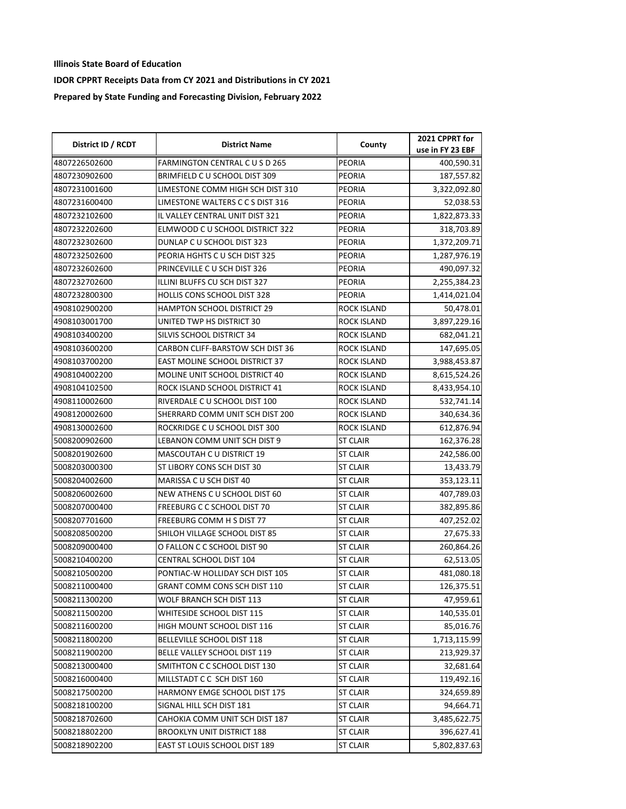| District ID / RCDT | <b>District Name</b>                  | County             | 2021 CPPRT for   |
|--------------------|---------------------------------------|--------------------|------------------|
|                    |                                       |                    | use in FY 23 EBF |
| 4807226502600      | FARMINGTON CENTRAL CUSD 265           | <b>PEORIA</b>      | 400,590.31       |
| 4807230902600      | BRIMFIELD C U SCHOOL DIST 309         | PEORIA             | 187,557.82       |
| 4807231001600      | LIMESTONE COMM HIGH SCH DIST 310      | PEORIA             | 3,322,092.80     |
| 4807231600400      | LIMESTONE WALTERS C C S DIST 316      | PEORIA             | 52,038.53        |
| 4807232102600      | IL VALLEY CENTRAL UNIT DIST 321       | PEORIA             | 1,822,873.33     |
| 4807232202600      | ELMWOOD C U SCHOOL DISTRICT 322       | PEORIA             | 318,703.89       |
| 4807232302600      | DUNLAP C U SCHOOL DIST 323            | PEORIA             | 1,372,209.71     |
| 4807232502600      | PEORIA HGHTS CU SCH DIST 325          | PEORIA             | 1,287,976.19     |
| 4807232602600      | PRINCEVILLE C U SCH DIST 326          | PEORIA             | 490,097.32       |
| 4807232702600      | ILLINI BLUFFS CU SCH DIST 327         | PEORIA             | 2,255,384.23     |
| 4807232800300      | <b>HOLLIS CONS SCHOOL DIST 328</b>    | PEORIA             | 1,414,021.04     |
| 4908102900200      | <b>HAMPTON SCHOOL DISTRICT 29</b>     | ROCK ISLAND        | 50,478.01        |
| 4908103001700      | UNITED TWP HS DISTRICT 30             | ROCK ISLAND        | 3,897,229.16     |
| 4908103400200      | SILVIS SCHOOL DISTRICT 34             | ROCK ISLAND        | 682,041.21       |
| 4908103600200      | CARBON CLIFF-BARSTOW SCH DIST 36      | ROCK ISLAND        | 147,695.05       |
| 4908103700200      | <b>EAST MOLINE SCHOOL DISTRICT 37</b> | ROCK ISLAND        | 3,988,453.87     |
| 4908104002200      | MOLINE UNIT SCHOOL DISTRICT 40        | <b>ROCK ISLAND</b> | 8,615,524.26     |
| 4908104102500      | ROCK ISLAND SCHOOL DISTRICT 41        | ROCK ISLAND        | 8,433,954.10     |
| 4908110002600      | RIVERDALE C U SCHOOL DIST 100         | ROCK ISLAND        | 532,741.14       |
| 4908120002600      | SHERRARD COMM UNIT SCH DIST 200       | ROCK ISLAND        | 340,634.36       |
| 4908130002600      | ROCKRIDGE C U SCHOOL DIST 300         | ROCK ISLAND        | 612,876.94       |
| 5008200902600      | LEBANON COMM UNIT SCH DIST 9          | ST CLAIR           | 162,376.28       |
| 5008201902600      | MASCOUTAH C U DISTRICT 19             | ST CLAIR           | 242,586.00       |
| 5008203000300      | ST LIBORY CONS SCH DIST 30            | <b>ST CLAIR</b>    | 13,433.79        |
| 5008204002600      | MARISSA CU SCH DIST 40                | ST CLAIR           | 353,123.11       |
| 5008206002600      | NEW ATHENS C U SCHOOL DIST 60         | ST CLAIR           | 407,789.03       |
| 5008207000400      | FREEBURG C C SCHOOL DIST 70           | <b>ST CLAIR</b>    | 382,895.86       |
| 5008207701600      | FREEBURG COMM H S DIST 77             | ST CLAIR           | 407,252.02       |
| 5008208500200      | SHILOH VILLAGE SCHOOL DIST 85         | <b>ST CLAIR</b>    | 27,675.33        |
| 5008209000400      | O FALLON C C SCHOOL DIST 90           | <b>ST CLAIR</b>    | 260,864.26       |
| 5008210400200      | CENTRAL SCHOOL DIST 104               | <b>ST CLAIR</b>    | 62,513.05        |
| 5008210500200      | PONTIAC-W HOLLIDAY SCH DIST 105       | <b>ST CLAIR</b>    | 481,080.18       |
| 5008211000400      | GRANT COMM CONS SCH DIST 110          | <b>ST CLAIR</b>    | 126,375.51       |
| 5008211300200      | WOLF BRANCH SCH DIST 113              | ST CLAIR           | 47,959.61        |
| 5008211500200      | WHITESIDE SCHOOL DIST 115             | <b>ST CLAIR</b>    | 140,535.01       |
| 5008211600200      | HIGH MOUNT SCHOOL DIST 116            | <b>ST CLAIR</b>    | 85,016.76        |
| 5008211800200      | BELLEVILLE SCHOOL DIST 118            | ST CLAIR           | 1,713,115.99     |
| 5008211900200      | BELLE VALLEY SCHOOL DIST 119          | ST CLAIR           | 213,929.37       |
| 5008213000400      | SMITHTON C C SCHOOL DIST 130          | ST CLAIR           | 32,681.64        |
| 5008216000400      | MILLSTADT C C SCH DIST 160            | ST CLAIR           | 119,492.16       |
| 5008217500200      | HARMONY EMGE SCHOOL DIST 175          | ST CLAIR           | 324,659.89       |
| 5008218100200      | SIGNAL HILL SCH DIST 181              | ST CLAIR           | 94,664.71        |
| 5008218702600      | CAHOKIA COMM UNIT SCH DIST 187        | ST CLAIR           | 3,485,622.75     |
| 5008218802200      | <b>BROOKLYN UNIT DISTRICT 188</b>     | <b>ST CLAIR</b>    | 396,627.41       |
| 5008218902200      | EAST ST LOUIS SCHOOL DIST 189         | ST CLAIR           | 5,802,837.63     |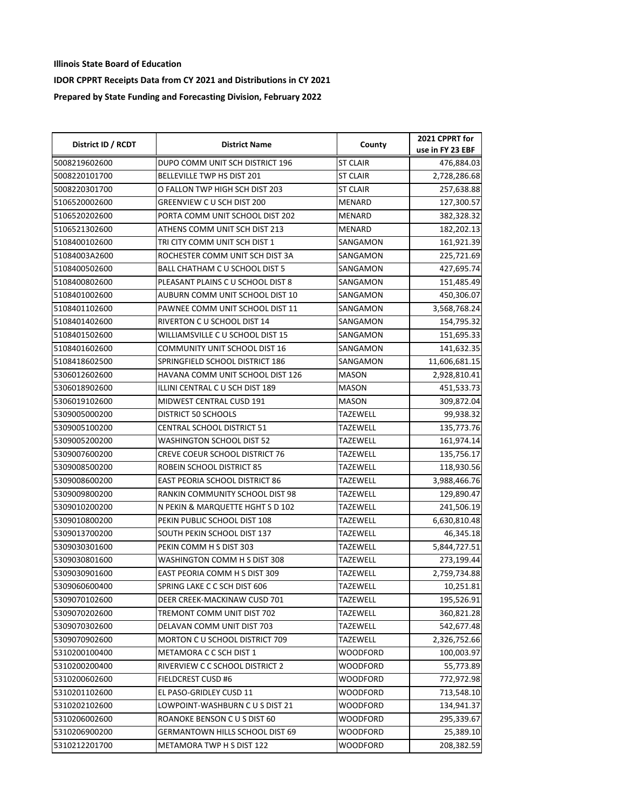| District ID / RCDT | <b>District Name</b>                  | County          | 2021 CPPRT for<br>use in FY 23 EBF |
|--------------------|---------------------------------------|-----------------|------------------------------------|
| 5008219602600      | DUPO COMM UNIT SCH DISTRICT 196       | <b>ST CLAIR</b> | 476,884.03                         |
| 5008220101700      | BELLEVILLE TWP HS DIST 201            | ST CLAIR        | 2,728,286.68                       |
| 5008220301700      | O FALLON TWP HIGH SCH DIST 203        | <b>ST CLAIR</b> | 257,638.88                         |
| 5106520002600      | GREENVIEW C U SCH DIST 200            | MENARD          | 127,300.57                         |
| 5106520202600      | PORTA COMM UNIT SCHOOL DIST 202       | MENARD          | 382,328.32                         |
| 5106521302600      | ATHENS COMM UNIT SCH DIST 213         | MENARD          | 182,202.13                         |
| 5108400102600      | TRI CITY COMM UNIT SCH DIST 1         | SANGAMON        | 161,921.39                         |
| 51084003A2600      | ROCHESTER COMM UNIT SCH DIST 3A       | SANGAMON        | 225,721.69                         |
| 5108400502600      | <b>BALL CHATHAM C U SCHOOL DIST 5</b> | SANGAMON        | 427,695.74                         |
| 5108400802600      | PLEASANT PLAINS CU SCHOOL DIST 8      | SANGAMON        | 151,485.49                         |
| 5108401002600      | AUBURN COMM UNIT SCHOOL DIST 10       | SANGAMON        | 450,306.07                         |
| 5108401102600      | PAWNEE COMM UNIT SCHOOL DIST 11       | SANGAMON        | 3,568,768.24                       |
| 5108401402600      | RIVERTON C U SCHOOL DIST 14           | SANGAMON        | 154,795.32                         |
| 5108401502600      | WILLIAMSVILLE C U SCHOOL DIST 15      | SANGAMON        | 151,695.33                         |
| 5108401602600      | COMMUNITY UNIT SCHOOL DIST 16         | SANGAMON        | 141,632.35                         |
| 5108418602500      | SPRINGFIELD SCHOOL DISTRICT 186       | SANGAMON        | 11,606,681.15                      |
| 5306012602600      | HAVANA COMM UNIT SCHOOL DIST 126      | MASON           | 2,928,810.41                       |
| 5306018902600      | ILLINI CENTRAL C U SCH DIST 189       | <b>MASON</b>    | 451,533.73                         |
| 5306019102600      | MIDWEST CENTRAL CUSD 191              | MASON           | 309,872.04                         |
| 5309005000200      | DISTRICT 50 SCHOOLS                   | TAZEWELL        | 99,938.32                          |
| 5309005100200      | CENTRAL SCHOOL DISTRICT 51            | <b>TAZEWELL</b> | 135,773.76                         |
| 5309005200200      | WASHINGTON SCHOOL DIST 52             | <b>TAZEWELL</b> | 161,974.14                         |
| 5309007600200      | CREVE COEUR SCHOOL DISTRICT 76        | <b>TAZEWELL</b> | 135,756.17                         |
| 5309008500200      | ROBEIN SCHOOL DISTRICT 85             | <b>TAZEWELL</b> | 118,930.56                         |
| 5309008600200      | EAST PEORIA SCHOOL DISTRICT 86        | TAZEWELL        | 3,988,466.76                       |
| 5309009800200      | RANKIN COMMUNITY SCHOOL DIST 98       | TAZEWELL        | 129,890.47                         |
| 5309010200200      | N PEKIN & MARQUETTE HGHT S D 102      | TAZEWELL        | 241,506.19                         |
| 5309010800200      | PEKIN PUBLIC SCHOOL DIST 108          | TAZEWELL        | 6,630,810.48                       |
| 5309013700200      | SOUTH PEKIN SCHOOL DIST 137           | <b>TAZEWELL</b> | 46,345.18                          |
| 5309030301600      | PEKIN COMM H S DIST 303               | TAZEWELL        | 5,844,727.51                       |
| 5309030801600      | WASHINGTON COMM H S DIST 308          | <b>TAZEWELL</b> | 273,199.44                         |
| 5309030901600      | EAST PEORIA COMM H S DIST 309         | TAZEWELL        | 2,759,734.88                       |
| 5309060600400      | SPRING LAKE C C SCH DIST 606          | <b>TAZEWELL</b> | 10,251.81                          |
| 5309070102600      | DEER CREEK-MACKINAW CUSD 701          | TAZEWELL        | 195,526.91                         |
| 5309070202600      | TREMONT COMM UNIT DIST 702            | <b>TAZEWELL</b> | 360,821.28                         |
| 5309070302600      | DELAVAN COMM UNIT DIST 703            | TAZEWELL        | 542,677.48                         |
| 5309070902600      | MORTON C U SCHOOL DISTRICT 709        | TAZEWELL        | 2,326,752.66                       |
| 5310200100400      | METAMORA C C SCH DIST 1               | WOODFORD        | 100,003.97                         |
| 5310200200400      | RIVERVIEW C C SCHOOL DISTRICT 2       | WOODFORD        | 55,773.89                          |
| 5310200602600      | FIELDCREST CUSD #6                    | WOODFORD        | 772,972.98                         |
| 5310201102600      | EL PASO-GRIDLEY CUSD 11               | WOODFORD        | 713,548.10                         |
| 5310202102600      | LOWPOINT-WASHBURN C U S DIST 21       | WOODFORD        | 134,941.37                         |
| 5310206002600      | ROANOKE BENSON C U S DIST 60          | WOODFORD        | 295,339.67                         |
| 5310206900200      | GERMANTOWN HILLS SCHOOL DIST 69       | WOODFORD        | 25,389.10                          |
| 5310212201700      | METAMORA TWP H S DIST 122             | WOODFORD        | 208,382.59                         |